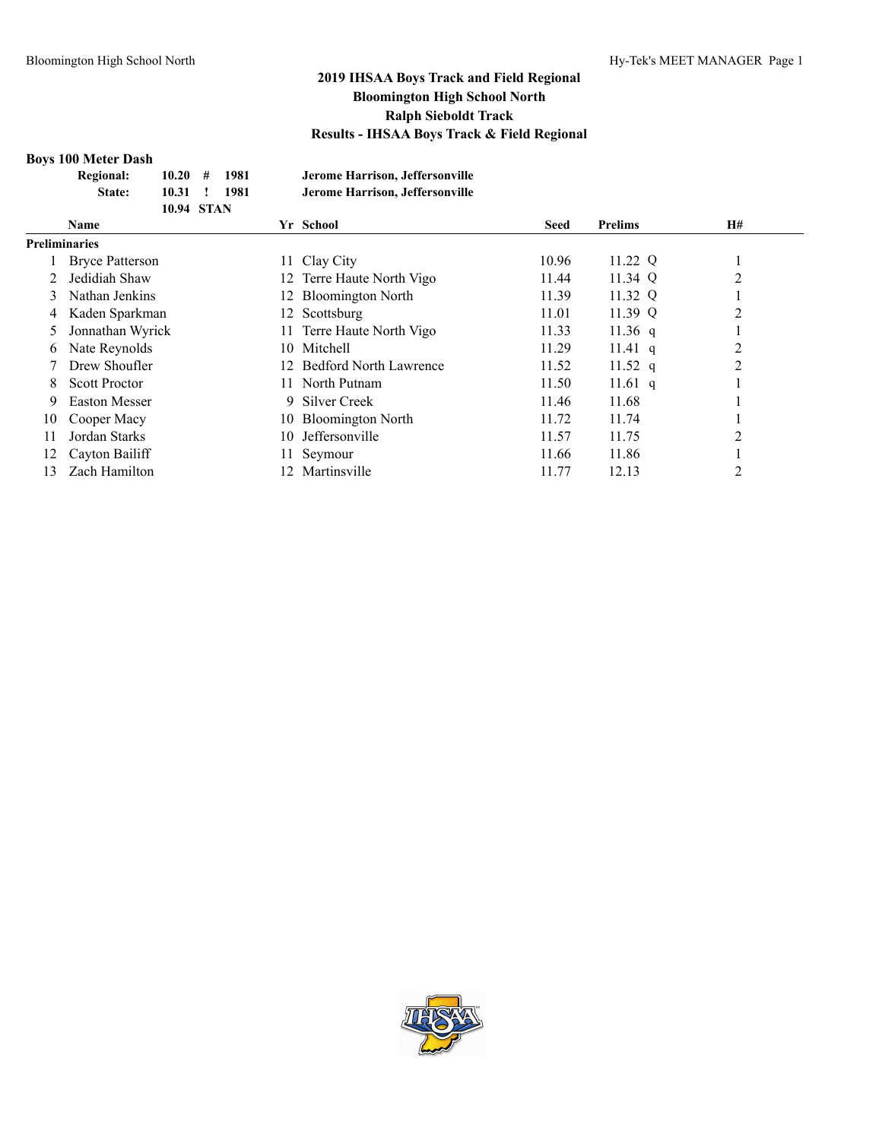#### **Boys 100 Meter Dash**

| <b>Regional:</b>       | 10.20             | # | 1981 | Jerome Harrison, Jeffersonville |             |                |    |
|------------------------|-------------------|---|------|---------------------------------|-------------|----------------|----|
| State:                 | 10.31             |   | 1981 | Jerome Harrison, Jeffersonville |             |                |    |
|                        | <b>10.94 STAN</b> |   |      |                                 |             |                |    |
| <b>Name</b>            |                   |   |      | Yr School                       | <b>Seed</b> | <b>Prelims</b> | H# |
| <b>Preliminaries</b>   |                   |   |      |                                 |             |                |    |
| <b>Bryce Patterson</b> |                   |   |      | 11 Clay City                    | 10.96       | 11.22 Q        |    |
| Jedidiah Shaw          |                   |   |      | 12 Terre Haute North Vigo       | 11 44       | 11 34 $\Omega$ |    |

|     | Bryce Patterson      | 11 Clay City              | 10.96 | 11.22 Q |  |
|-----|----------------------|---------------------------|-------|---------|--|
|     | Jedidiah Shaw        | 12 Terre Haute North Vigo | 11.44 | 11.34 Q |  |
|     | 3 Nathan Jenkins     | 12 Bloomington North      | 11.39 | 11.32 Q |  |
|     | 4 Kaden Sparkman     | 12 Scottsburg             | 11.01 | 11.39 Q |  |
|     | 5 Jonnathan Wyrick   | 11 Terre Haute North Vigo | 11.33 | 11.36 q |  |
|     | 6 Nate Reynolds      | 10 Mitchell               | 11.29 | 11.41 q |  |
|     | Drew Shoufler        | 12 Bedford North Lawrence | 11.52 | 11.52 q |  |
| 8.  | <b>Scott Proctor</b> | 11 North Putnam           | 11.50 | 11.61 q |  |
| 9.  | <b>Easton Messer</b> | 9 Silver Creek            | 11.46 | 11.68   |  |
| 10. | Cooper Macy          | 10 Bloomington North      | 11.72 | 11.74   |  |
|     | Jordan Starks        | 10 Jeffersonville         | 11.57 | 11.75   |  |
|     | 12 Cayton Bailiff    | 11 Seymour                | 11.66 | 11.86   |  |
|     | Zach Hamilton        | 12 Martinsville           | 11.77 | 12.13   |  |

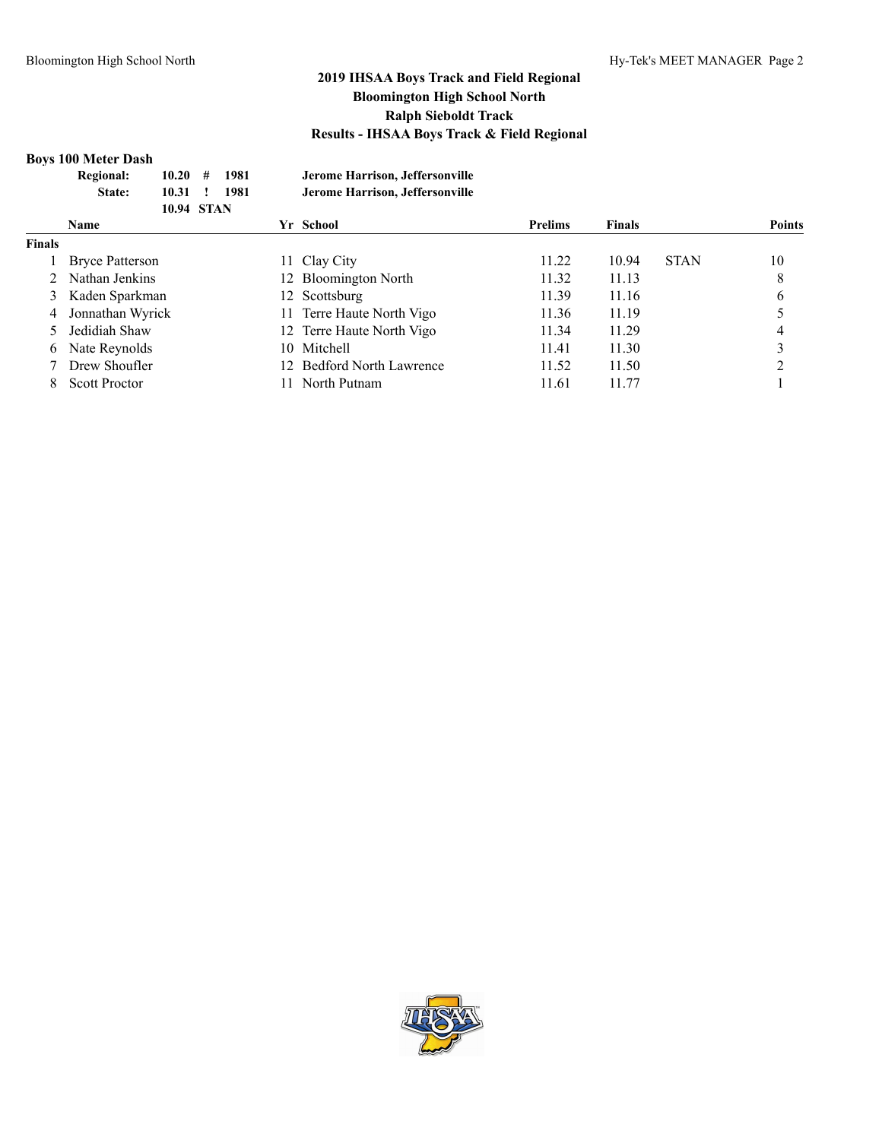#### **Boys 100 Meter Dash**

|               | <b>Regional:</b><br>10.20<br>10.31<br>State:<br><b>10.94 STAN</b> | #<br>1981<br>1981 |     | Jerome Harrison, Jeffersonville<br>Jerome Harrison, Jeffersonville |                |               |             |               |
|---------------|-------------------------------------------------------------------|-------------------|-----|--------------------------------------------------------------------|----------------|---------------|-------------|---------------|
|               | <b>Name</b>                                                       |                   |     | Yr School                                                          | <b>Prelims</b> | <b>Finals</b> |             | <b>Points</b> |
| <b>Finals</b> |                                                                   |                   |     |                                                                    |                |               |             |               |
|               | <b>Bryce Patterson</b>                                            |                   |     | 11 Clay City                                                       | 11.22          | 10.94         | <b>STAN</b> | 10            |
|               | Nathan Jenkins                                                    |                   |     | 12 Bloomington North                                               | 11.32          | 11.13         |             | 8             |
| 3             | Kaden Sparkman                                                    |                   | 12. | Scottsburg                                                         | 11.39          | 11.16         |             | 6             |
| 4             | Jonnathan Wyrick                                                  |                   |     | 11 Terre Haute North Vigo                                          | 11.36          | 11.19         |             |               |
|               | Jedidiah Shaw                                                     |                   |     | 12 Terre Haute North Vigo                                          | 11.34          | 11.29         |             |               |
| 6             | Nate Reynolds                                                     |                   |     | 10 Mitchell                                                        | 11.41          | 11.30         |             | ◠             |
|               | Drew Shoufler                                                     |                   |     | 12 Bedford North Lawrence                                          | 11.52          | 11.50         |             | ◠             |
| 8             | <b>Scott Proctor</b>                                              |                   |     | North Putnam                                                       | 11.61          | 11.77         |             |               |
|               |                                                                   |                   |     |                                                                    |                |               |             |               |

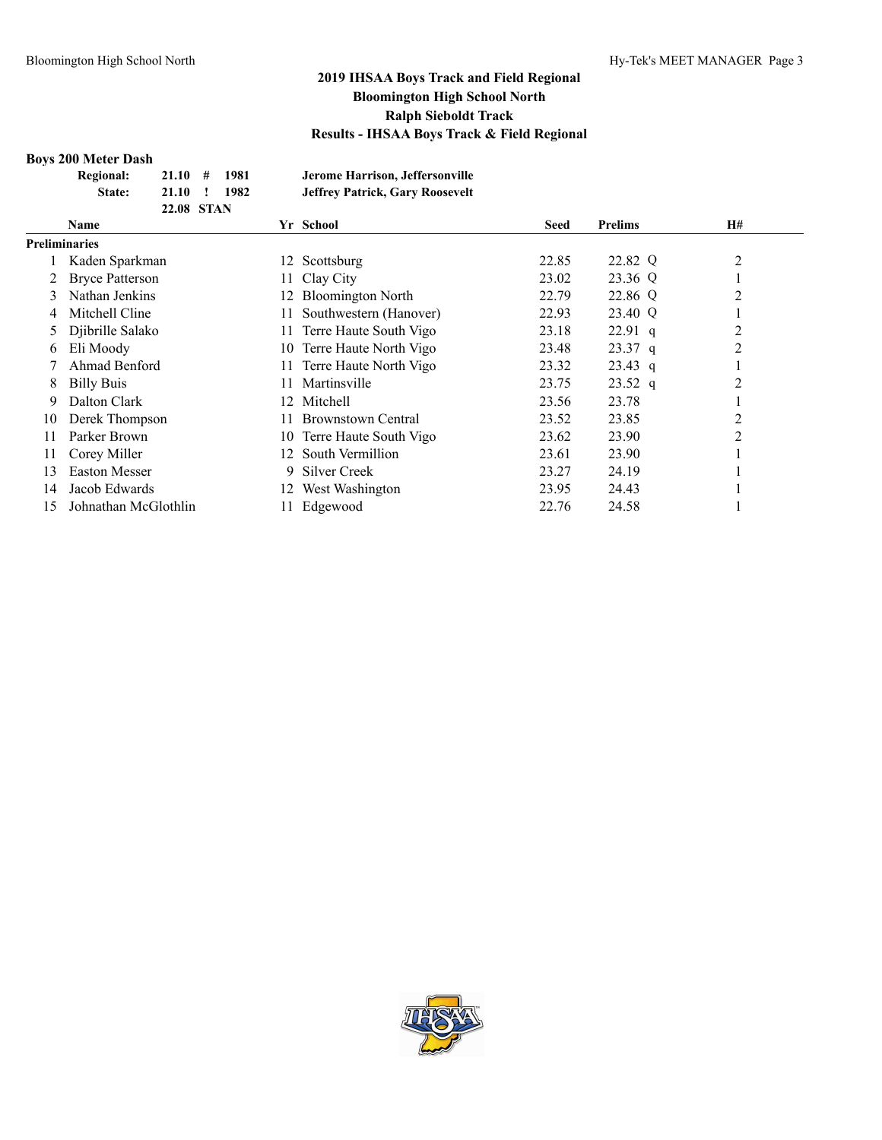#### **Boys 200 Meter Dash**

|   | DOVS ZUU IMELEI D'ASII |                   |   |      |     |                                        |       |                |    |
|---|------------------------|-------------------|---|------|-----|----------------------------------------|-------|----------------|----|
|   | <b>Regional:</b>       | 21.10             | # | 1981 |     | Jerome Harrison, Jeffersonville        |       |                |    |
|   | State:                 | 21.10             |   | 1982 |     | <b>Jeffrey Patrick, Gary Roosevelt</b> |       |                |    |
|   |                        | <b>22.08 STAN</b> |   |      |     |                                        |       |                |    |
|   | <b>Name</b>            |                   |   |      |     | Yr School                              | Seed  | <b>Prelims</b> | H# |
|   | <b>Preliminaries</b>   |                   |   |      |     |                                        |       |                |    |
|   | Kaden Sparkman         |                   |   |      |     | 12 Scottsburg                          | 22.85 | 22.82 Q        | 2  |
| 2 | <b>Bryce Patterson</b> |                   |   |      |     | 11 Clay City                           | 23.02 | 23.36 Q        |    |
|   | Nathan Jenkins         |                   |   |      |     | 12 Bloomington North                   | 22.79 | 22.86 Q        | 2  |
| 4 | Mitchell Cline         |                   |   |      |     | 11 Southwestern (Hanover)              | 22.93 | 23.40 Q        |    |
|   | 5 Djibrille Salako     |                   |   |      | 11. | Terre Haute South Vigo                 | 23.18 | $22.91$ q      | 2  |
|   | 6 Eli Moody            |                   |   |      |     | 10 Terre Haute North Vigo              | 23.48 | 2337a          |    |

|    | <b>INALITALE JULINIIIS</b> |     | 12 DRUUHIIILKUILIVULII    | <i>LL</i> .17 | $22.00 \sqrt{2}$ |  |
|----|----------------------------|-----|---------------------------|---------------|------------------|--|
| 4  | Mitchell Cline             |     | 11 Southwestern (Hanover) | 22.93         | 23.40 Q          |  |
|    | 5 Djibrille Salako         |     | 11 Terre Haute South Vigo | 23.18         | $22.91$ q        |  |
|    | 6 Eli Moody                |     | 10 Terre Haute North Vigo | 23.48         | $23.37$ q        |  |
|    | Ahmad Benford              |     | 11 Terre Haute North Vigo | 23.32         | $23.43$ q        |  |
| 8  | <b>Billy Buis</b>          | 11. | Martinsville              | 23.75         | $23.52$ q        |  |
| 9. | Dalton Clark               |     | 12 Mitchell               | 23.56         | 23.78            |  |
| 10 | Derek Thompson             | 11. | <b>Brownstown Central</b> | 23.52         | 23.85            |  |
| 11 | Parker Brown               |     | 10 Terre Haute South Vigo | 23.62         | 23.90            |  |
| 11 | Corey Miller               |     | 12 South Vermillion       | 23.61         | 23.90            |  |
| 13 | <b>Easton Messer</b>       | 9.  | Silver Creek              | 23.27         | 24.19            |  |
| 14 | Jacob Edwards              |     | 12 West Washington        | 23.95         | 24.43            |  |
| 15 | Johnathan McGlothlin       |     | Edgewood                  | 22.76         | 24.58            |  |

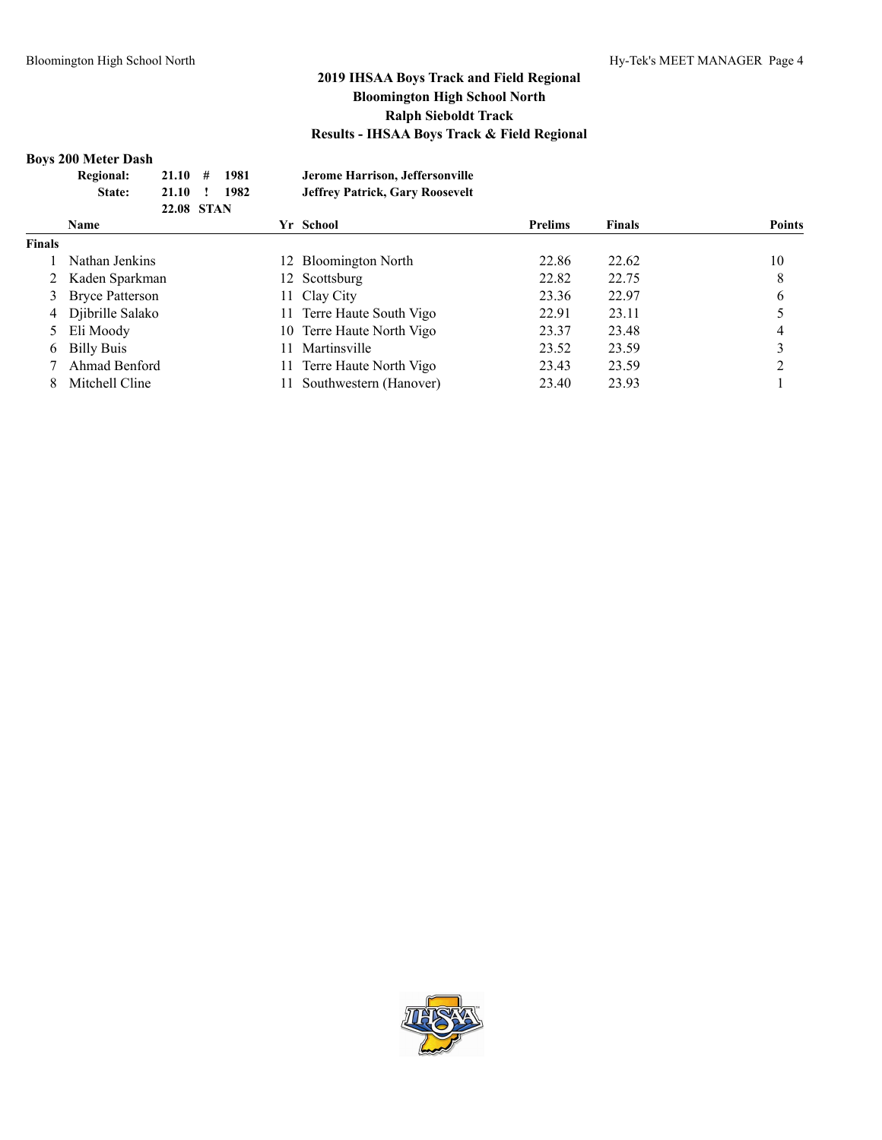#### **Boys 200 Meter Dash**

| <b>Regional:</b><br>21.10<br>#<br>21.10<br>State: | 1981<br>1982 | Jerome Harrison, Jeffersonville<br><b>Jeffrey Patrick, Gary Roosevelt</b> |                                                                                                                                           |               |               |
|---------------------------------------------------|--------------|---------------------------------------------------------------------------|-------------------------------------------------------------------------------------------------------------------------------------------|---------------|---------------|
| <b>Name</b>                                       |              |                                                                           | <b>Prelims</b>                                                                                                                            | <b>Finals</b> | <b>Points</b> |
|                                                   |              |                                                                           |                                                                                                                                           |               |               |
| Nathan Jenkins                                    |              |                                                                           | 22.86                                                                                                                                     | 22.62         | 10            |
| 2 Kaden Sparkman                                  |              |                                                                           | 22.82                                                                                                                                     | 22.75         | 8             |
| 3 Bryce Patterson                                 |              |                                                                           | 23.36                                                                                                                                     | 22.97         | 6             |
| 4 Djibrille Salako                                |              |                                                                           | 22.91                                                                                                                                     | 23.11         |               |
| 5 Eli Moody                                       |              |                                                                           | 23.37                                                                                                                                     | 23.48         |               |
| <b>Billy Buis</b>                                 |              | Martinsville                                                              | 23.52                                                                                                                                     | 23.59         |               |
| Ahmad Benford                                     |              | Terre Haute North Vigo                                                    | 23.43                                                                                                                                     | 23.59         |               |
| Mitchell Cline                                    |              | Southwestern (Hanover)                                                    | 23.40                                                                                                                                     | 23.93         |               |
|                                                   |              | 22.08 STAN                                                                | Yr School<br>12 Bloomington North<br>12 Scottsburg<br>11 Clay City<br>11 Terre Haute South Vigo<br>10 Terre Haute North Vigo<br>11<br>11. |               |               |

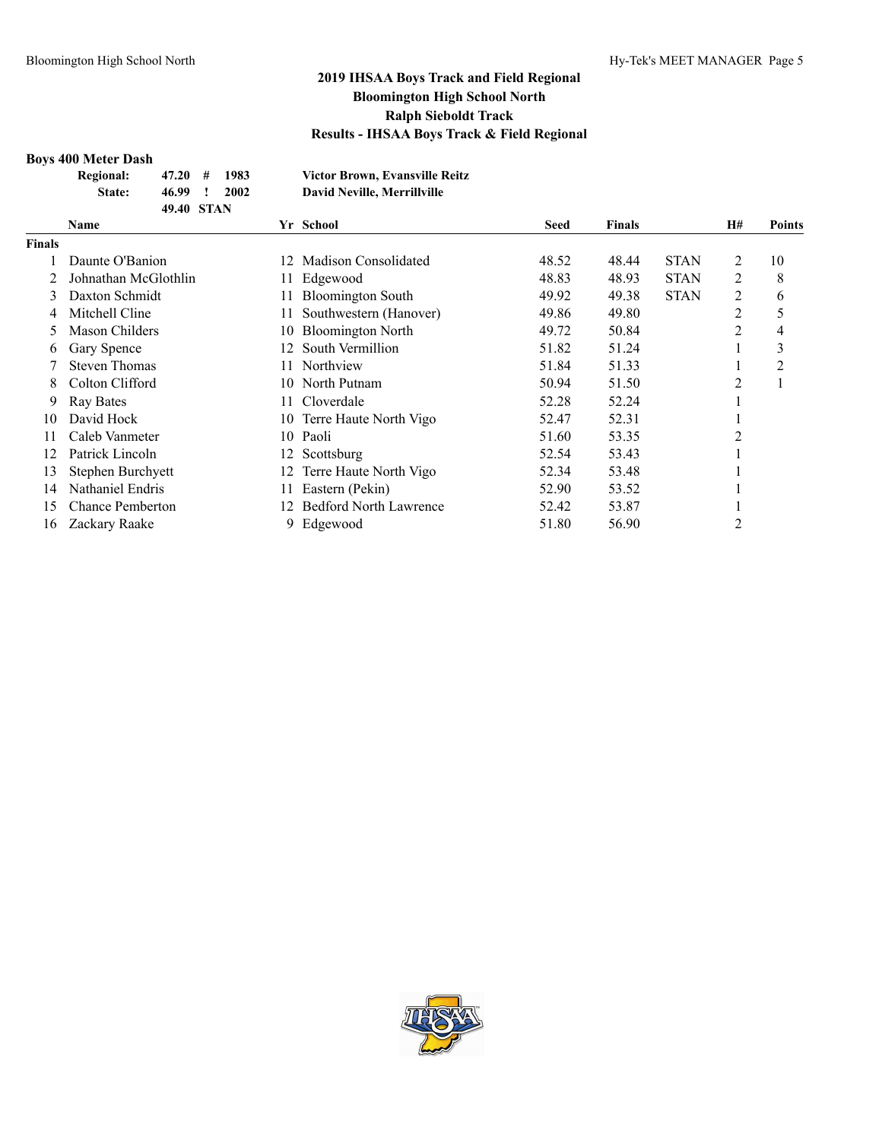#### **Boys 400 Meter Dash**

| <b>Regional:</b> | $47.20 \pm 1$ | 1983 | <b>Victor Brown, Evansville Reitz</b> |
|------------------|---------------|------|---------------------------------------|
| State:           | 46.99 !       | 2002 | David Neville, Merrillyille           |
|                  | 49.40 STAN    |      |                                       |

|        | Name                    |     | Yr School                     | <b>Seed</b> | <b>Finals</b> |             | <b>H#</b> | Points |
|--------|-------------------------|-----|-------------------------------|-------------|---------------|-------------|-----------|--------|
| Finals |                         |     |                               |             |               |             |           |        |
|        | Daunte O'Banion         | 12. | Madison Consolidated          | 48.52       | 48.44         | <b>STAN</b> | 2         | 10     |
|        | Johnathan McGlothlin    | 11. | Edgewood                      | 48.83       | 48.93         | <b>STAN</b> | 2         | 8      |
| 3      | Daxton Schmidt          |     | <b>Bloomington South</b>      | 49.92       | 49.38         | <b>STAN</b> | 2         | 6      |
| 4      | Mitchell Cline          |     | Southwestern (Hanover)        | 49.86       | 49.80         |             | 2         | 5      |
| 5      | Mason Childers          | 10  | <b>Bloomington North</b>      | 49.72       | 50.84         |             | 2         | 4      |
| 6      | Gary Spence             | 12. | South Vermillion              | 51.82       | 51.24         |             |           | 3      |
|        | <b>Steven Thomas</b>    | 11. | Northview                     | 51.84       | 51.33         |             |           | 2      |
| 8      | Colton Clifford         | 10. | North Putnam                  | 50.94       | 51.50         |             | 2         |        |
| 9      | <b>Ray Bates</b>        | 11. | Cloverdale                    | 52.28       | 52.24         |             |           |        |
| 10     | David Hock              | 10  | Terre Haute North Vigo        | 52.47       | 52.31         |             |           |        |
| 11     | Caleb Vanmeter          | 10  | Paoli                         | 51.60       | 53.35         |             | 2         |        |
| 12     | Patrick Lincoln         | 12  | Scottsburg                    | 52.54       | 53.43         |             |           |        |
| 13     | Stephen Burchyett       | 12  | Terre Haute North Vigo        | 52.34       | 53.48         |             |           |        |
| 14     | Nathaniel Endris        |     | Eastern (Pekin)               | 52.90       | 53.52         |             |           |        |
| 15     | <b>Chance Pemberton</b> | 12. | <b>Bedford North Lawrence</b> | 52.42       | 53.87         |             |           |        |
| 16     | Zackary Raake           | 9   | Edgewood                      | 51.80       | 56.90         |             | 2         |        |

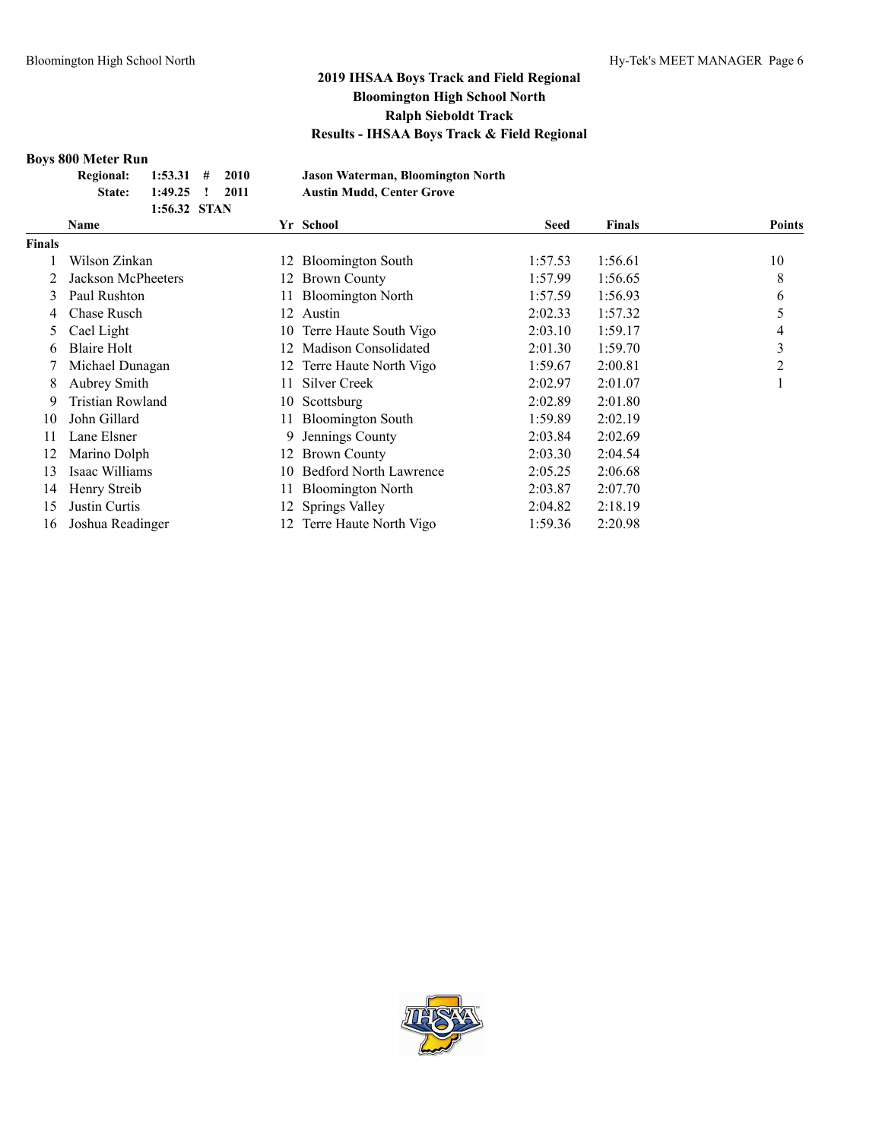# **Boys 800 Meter Run**

| YƏ OVV IYILILI IXUII     |                |  |        |
|--------------------------|----------------|--|--------|
| Regional: 1:53.31 # 2010 |                |  | Jason  |
| State:                   | 1:49.25 ! 2011 |  | Austir |
|                          | 1:56.32 STAN   |  |        |

**Regional: 1:53.31 # 2010 Jason Waterman, Bloomington North State: 1:49.25 ! 2011 Austin Mudd, Center Grove**

|               | <b>Name</b>        | Yr School         |                               | <b>Seed</b> | <b>Finals</b> | <b>Points</b> |
|---------------|--------------------|-------------------|-------------------------------|-------------|---------------|---------------|
| <b>Finals</b> |                    |                   |                               |             |               |               |
|               | Wilson Zinkan      |                   | 12 Bloomington South          | 1:57.53     | 1:56.61       | 10            |
|               | Jackson McPheeters | 12.               | <b>Brown County</b>           | 1:57.99     | 1:56.65       | 8             |
| 3             | Paul Rushton       | 11.               | <b>Bloomington North</b>      | 1:57.59     | 1:56.93       | 6             |
| 4             | Chase Rusch        | Austin<br>12.     |                               | 2:02.33     | 1:57.32       | 5             |
| 5.            | Cael Light         |                   | 10 Terre Haute South Vigo     | 2:03.10     | 1:59.17       | 4             |
| 6             | Blaire Holt        | 12.               | Madison Consolidated          | 2:01.30     | 1:59.70       | 3             |
|               | Michael Dunagan    |                   | 12 Terre Haute North Vigo     | 1:59.67     | 2:00.81       | 2             |
| 8             | Aubrey Smith       | 11-               | Silver Creek                  | 2:02.97     | 2:01.07       |               |
| 9             | Tristian Rowland   | Scottsburg<br>10. |                               | 2:02.89     | 2:01.80       |               |
| 10            | John Gillard       | 11.               | <b>Bloomington South</b>      | 1:59.89     | 2:02.19       |               |
| 11            | Lane Elsner        | 9.                | Jennings County               | 2:03.84     | 2:02.69       |               |
| 12            | Marino Dolph       | 12.               | <b>Brown County</b>           | 2:03.30     | 2:04.54       |               |
| 13            | Isaac Williams     | 10.               | <b>Bedford North Lawrence</b> | 2:05.25     | 2:06.68       |               |
| 14            | Henry Streib       |                   | 11 Bloomington North          | 2:03.87     | 2:07.70       |               |
| 15            | Justin Curtis      | 12 Springs Valley |                               | 2:04.82     | 2:18.19       |               |
| 16            | Joshua Readinger   |                   | 12 Terre Haute North Vigo     | 1:59.36     | 2:20.98       |               |

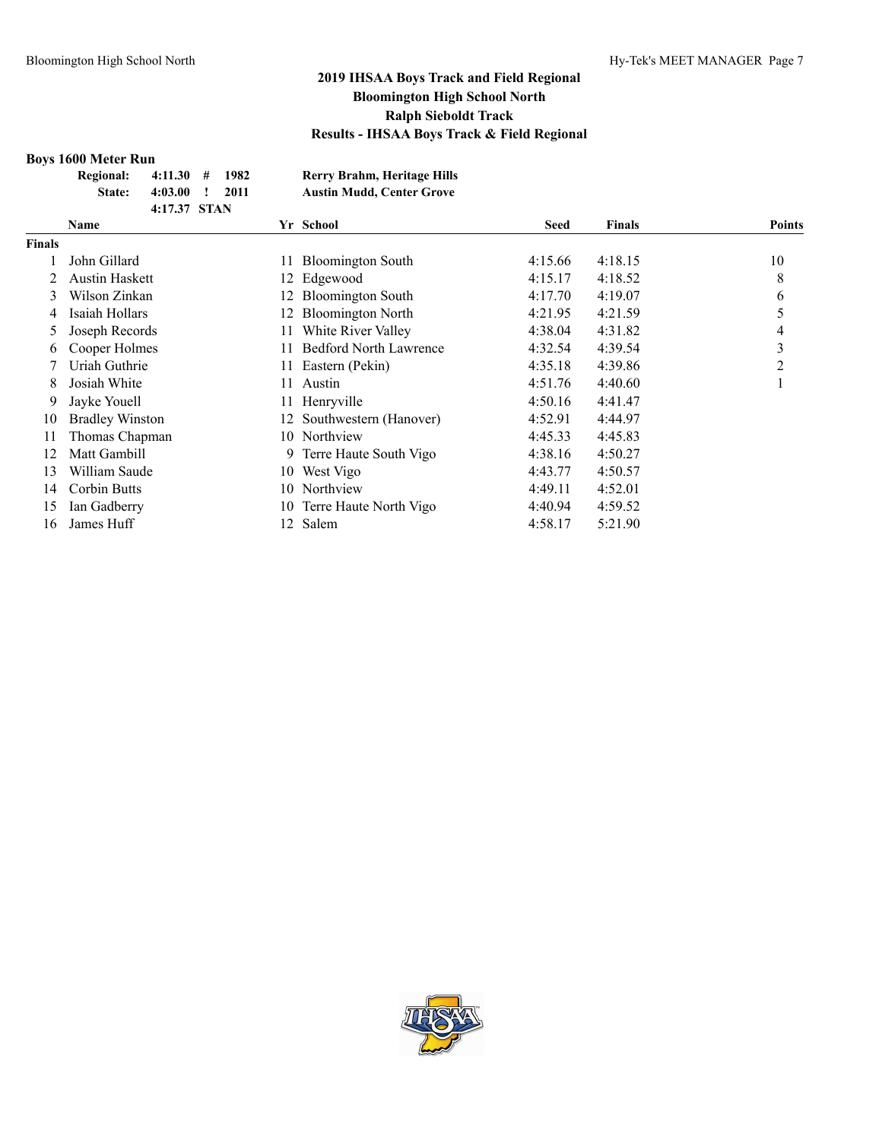#### **Boys 1600 Meter Run**

| - - - - - - - - - - - - - - - - - - - |              |      |                                  |
|---------------------------------------|--------------|------|----------------------------------|
| Regional: 4:11.30 # 1982              |              |      | Rerry Brahm, Heritage Hills      |
| <b>State:</b>                         | $4:03.00$ !  | 2011 | <b>Austin Mudd, Center Grove</b> |
|                                       | 4:17.37 STAN |      |                                  |

|               | <b>Name</b>            |     | Yr School                     | Seed    | <b>Finals</b> | <b>Points</b> |
|---------------|------------------------|-----|-------------------------------|---------|---------------|---------------|
| <b>Finals</b> |                        |     |                               |         |               |               |
|               | John Gillard           | 11  | <b>Bloomington South</b>      | 4:15.66 | 4:18.15       | 10            |
|               | Austin Haskett         |     | 12 Edgewood                   | 4:15.17 | 4:18.52       | 8             |
| 3             | Wilson Zinkan          | 12. | <b>Bloomington South</b>      | 4:17.70 | 4:19.07       | 6             |
| 4             | Isaiah Hollars         | 12. | <b>Bloomington North</b>      | 4:21.95 | 4:21.59       |               |
| 5             | Joseph Records         | 11. | White River Valley            | 4:38.04 | 4:31.82       | 4             |
| <sub>0</sub>  | Cooper Holmes          | 11. | <b>Bedford North Lawrence</b> | 4:32.54 | 4:39.54       | 3             |
|               | Uriah Guthrie          | 11  | Eastern (Pekin)               | 4:35.18 | 4:39.86       | 2             |
| 8             | Josiah White           | 11  | Austin                        | 4:51.76 | 4:40.60       |               |
| 9             | Jayke Youell           |     | 11 Henryville                 | 4:50.16 | 4:41.47       |               |
| 10            | <b>Bradley Winston</b> | 12  | Southwestern (Hanover)        | 4:52.91 | 4:44.97       |               |
| 11            | Thomas Chapman         | 10. | Northview                     | 4:45.33 | 4:45.83       |               |
| 12            | Matt Gambill           | 9.  | Terre Haute South Vigo        | 4:38.16 | 4:50.27       |               |
| 13            | William Saude          | 10  | West Vigo                     | 4:43.77 | 4:50.57       |               |
| 14            | Corbin Butts           | 10. | Northview                     | 4:49.11 | 4:52.01       |               |
| 15            | Ian Gadberry           | 10  | Terre Haute North Vigo        | 4:40.94 | 4:59.52       |               |
| 16            | James Huff             |     | 12 Salem                      | 4:58.17 | 5:21.90       |               |

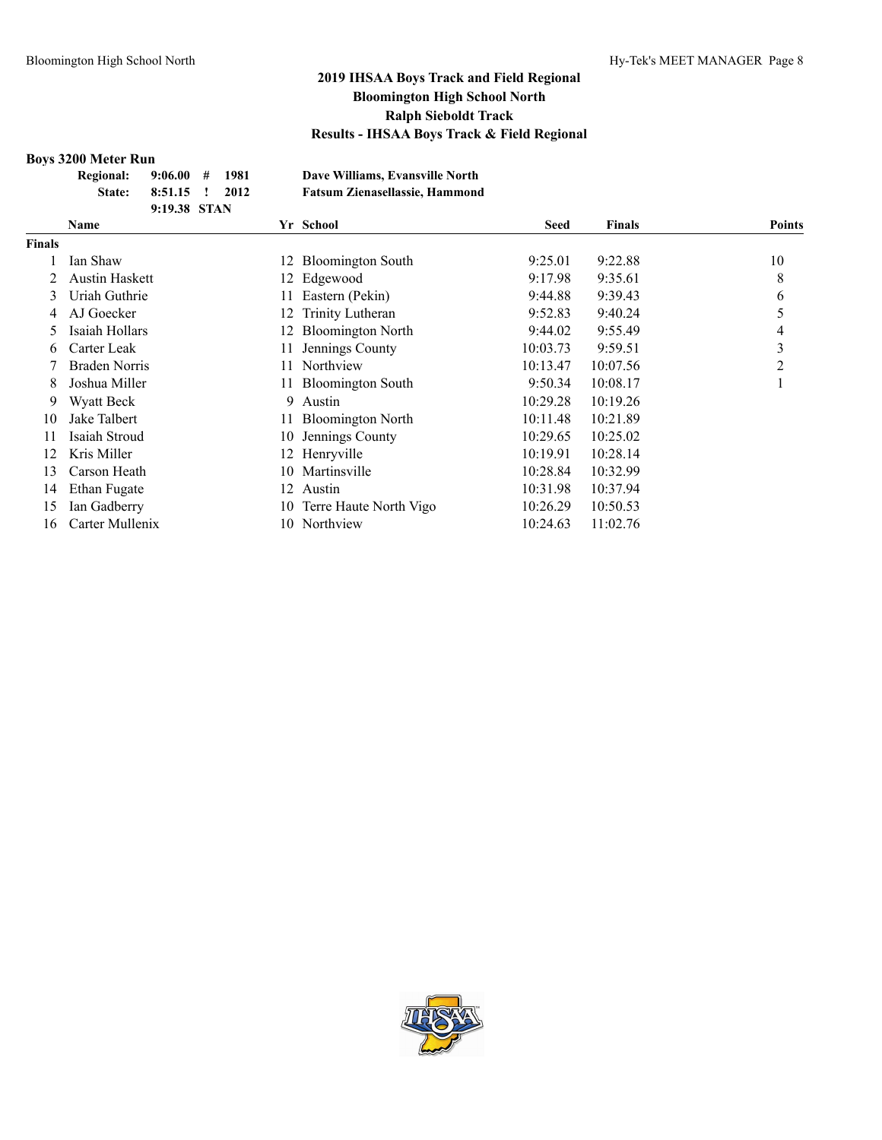#### **Boys 3200 Meter Run**

| DUYƏ JAVV IYILILI IXUII  |                |  |                                       |
|--------------------------|----------------|--|---------------------------------------|
| Regional: 9:06.00 # 1981 |                |  | Dave Williams, Evansville North       |
| <b>State:</b>            | 8:51.15 ! 2012 |  | <b>Fatsum Zienasellassie, Hammond</b> |
|                          | 9:19.38 STAN   |  |                                       |

|               | Name                  |    | Yr School                | <b>Seed</b> | <b>Finals</b> | <b>Points</b> |
|---------------|-----------------------|----|--------------------------|-------------|---------------|---------------|
| <b>Finals</b> |                       |    |                          |             |               |               |
|               | Ian Shaw              | 12 | <b>Bloomington South</b> | 9:25.01     | 9:22.88       | 10            |
|               | <b>Austin Haskett</b> | 12 | Edgewood                 | 9:17.98     | 9:35.61       | 8             |
| 3             | Uriah Guthrie         |    | Eastern (Pekin)          | 9:44.88     | 9:39.43       | 6             |
| 4             | AJ Goecker            | 12 | Trinity Lutheran         | 9:52.83     | 9:40.24       | 5             |
| 5             | Isaiah Hollars        | 12 | <b>Bloomington North</b> | 9:44.02     | 9:55.49       | 4             |
| 6             | Carter Leak           |    | Jennings County          | 10:03.73    | 9:59.51       | 3             |
|               | <b>Braden Norris</b>  |    | Northview                | 10:13.47    | 10:07.56      | 2             |
| 8             | Joshua Miller         |    | <b>Bloomington South</b> | 9:50.34     | 10:08.17      |               |
| 9             | Wyatt Beck            | 9  | Austin                   | 10:29.28    | 10:19.26      |               |
| 10            | Jake Talbert          |    | <b>Bloomington North</b> | 10:11.48    | 10:21.89      |               |
| 11            | Isaiah Stroud         | 10 | Jennings County          | 10:29.65    | 10:25.02      |               |
| 12            | Kris Miller           | 12 | Henryville               | 10:19.91    | 10:28.14      |               |
| 13            | Carson Heath          | 10 | Martinsville             | 10:28.84    | 10:32.99      |               |
| 14            | Ethan Fugate          | 12 | Austin                   | 10:31.98    | 10:37.94      |               |
| 15            | Ian Gadberry          | 10 | Terre Haute North Vigo   | 10:26.29    | 10:50.53      |               |
| 16            | Carter Mullenix       | 10 | Northview                | 10:24.63    | 11:02.76      |               |

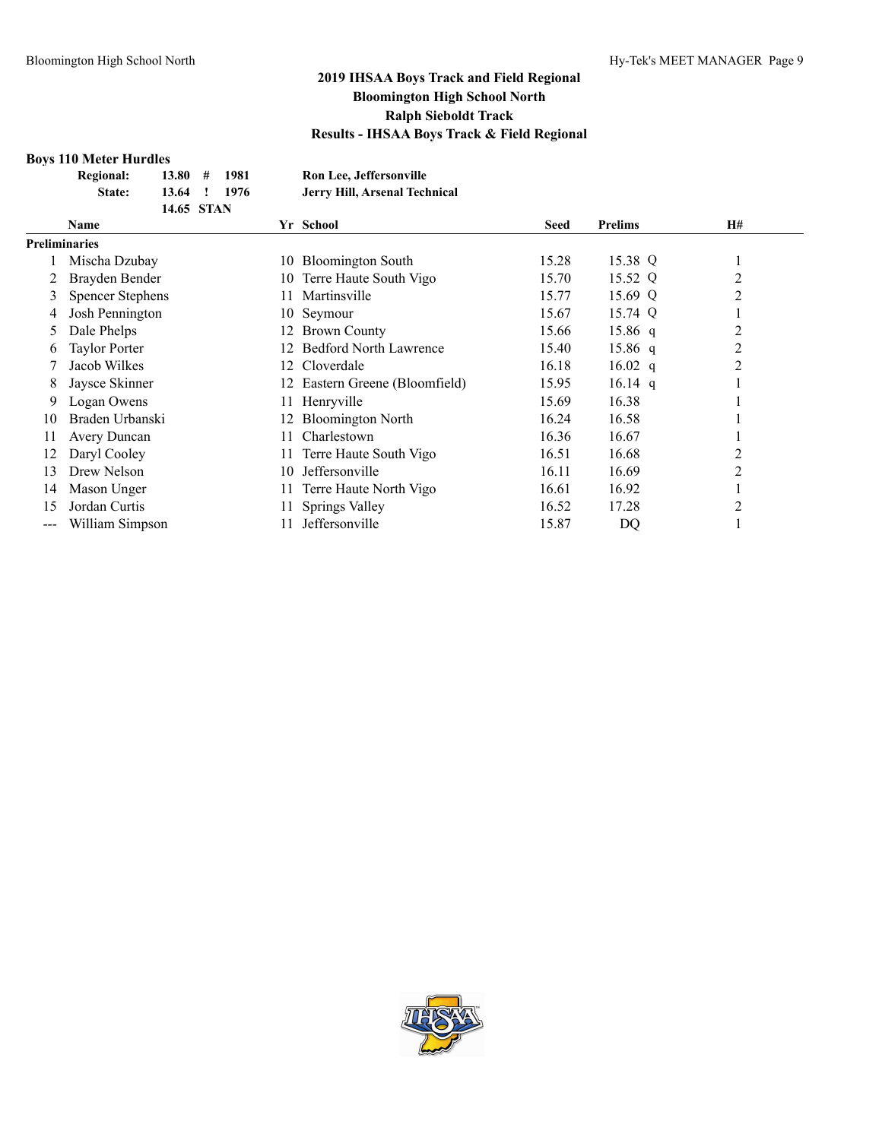#### **Boys 110 Meter Hurdles**

| <b>Regional:</b> |            | $13.80 \quad # \quad 1981$ | Ron Lee, Jeffersonville       |
|------------------|------------|----------------------------|-------------------------------|
| State:           |            | 13.64 ! 1976               | Jerry Hill, Arsenal Technical |
|                  | 14.65 STAN |                            |                               |

|                      | <b>Name</b>             | Yr School     |                                | <b>Seed</b> | <b>Prelims</b> | H#             |  |
|----------------------|-------------------------|---------------|--------------------------------|-------------|----------------|----------------|--|
| <b>Preliminaries</b> |                         |               |                                |             |                |                |  |
|                      | Mischa Dzubay           | 10            | <b>Bloomington South</b>       | 15.28       | 15.38 Q        |                |  |
|                      | Brayden Bender          | 10-           | Terre Haute South Vigo         | 15.70       | 15.52 Q        | $\overline{2}$ |  |
| 3                    | <b>Spencer Stephens</b> | 11.           | Martinsville                   | 15.77       | 15.69 Q        | 2              |  |
| 4                    | Josh Pennington         | 10 Seymour    |                                | 15.67       | 15.74 Q        |                |  |
| 5                    | Dale Phelps             |               | 12 Brown County                | 15.66       | $15.86$ q      | 2              |  |
| 6                    | <b>Taylor Porter</b>    | 12.           | <b>Bedford North Lawrence</b>  | 15.40       | $15.86$ q      | 2              |  |
|                      | Jacob Wilkes            | 12 Cloverdale |                                | 16.18       | $16.02$ q      | 2              |  |
| 8                    | Jaysce Skinner          |               | 12 Eastern Greene (Bloomfield) | 15.95       | $16.14$ q      |                |  |
| 9                    | Logan Owens             | 11            | Henryville                     | 15.69       | 16.38          |                |  |
| 10                   | Braden Urbanski         |               | <b>Bloomington North</b>       | 16.24       | 16.58          |                |  |
| 11                   | Avery Duncan            | 11.           | Charlestown                    | 16.36       | 16.67          |                |  |
| 12                   | Daryl Cooley            | 11            | Terre Haute South Vigo         | 16.51       | 16.68          | 2              |  |
| 13                   | Drew Nelson             | 10            | Jeffersonville                 | 16.11       | 16.69          | 2              |  |
| 14                   | Mason Unger             | 11            | Terre Haute North Vigo         | 16.61       | 16.92          |                |  |
| 15                   | Jordan Curtis           |               | Springs Valley                 | 16.52       | 17.28          | 2              |  |
| $--$                 | William Simpson         |               | Jeffersonville                 | 15.87       | DQ             |                |  |

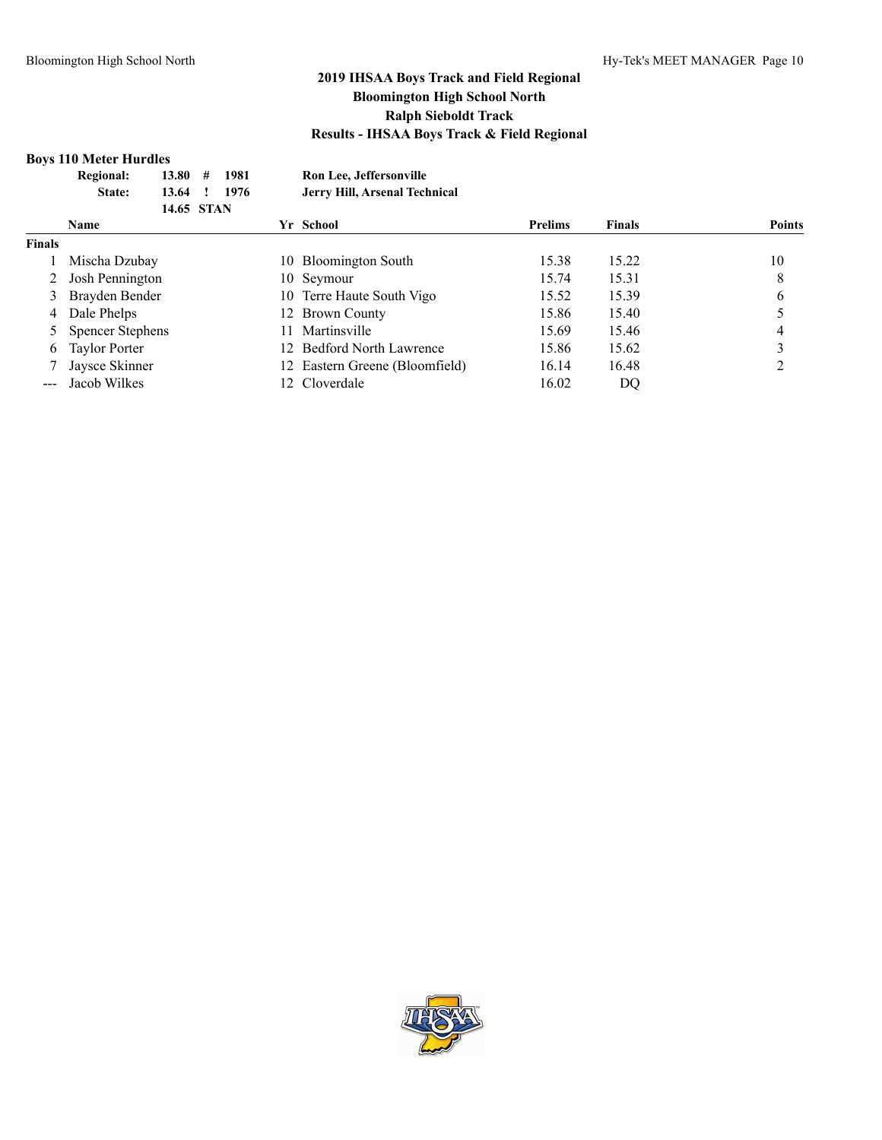#### **Boys 110 Meter Hurdles**

|               | <b>Regional:</b><br>13.80<br>#<br>State:<br>13.64<br>14.65 STAN | 1981<br>1976 | Ron Lee, Jeffersonville<br>Jerry Hill, Arsenal Technical |                |               |               |
|---------------|-----------------------------------------------------------------|--------------|----------------------------------------------------------|----------------|---------------|---------------|
|               | Name                                                            |              | Yr School                                                | <b>Prelims</b> | <b>Finals</b> | <b>Points</b> |
| <b>Finals</b> |                                                                 |              |                                                          |                |               |               |
|               | Mischa Dzubay                                                   |              | 10 Bloomington South                                     | 15.38          | 15.22         | 10            |
|               | Josh Pennington                                                 |              | 10 Seymour                                               | 15.74          | 15.31         | 8             |
| 3             | Brayden Bender                                                  |              | 10 Terre Haute South Vigo                                | 15.52          | 15.39         | 6             |
| 4             | Dale Phelps                                                     |              | 12 Brown County                                          | 15.86          | 15.40         |               |
|               | <b>Spencer Stephens</b>                                         | 11           | Martinsville                                             | 15.69          | 15.46         | 4             |
| 6             | <b>Taylor Porter</b>                                            |              | 12 Bedford North Lawrence                                | 15.86          | 15.62         |               |
|               | Jaysce Skinner                                                  |              | Eastern Greene (Bloomfield)                              | 16.14          | 16.48         |               |
|               | Jacob Wilkes                                                    |              | 12 Cloverdale                                            | 16.02          | DQ            |               |
|               |                                                                 |              |                                                          |                |               |               |

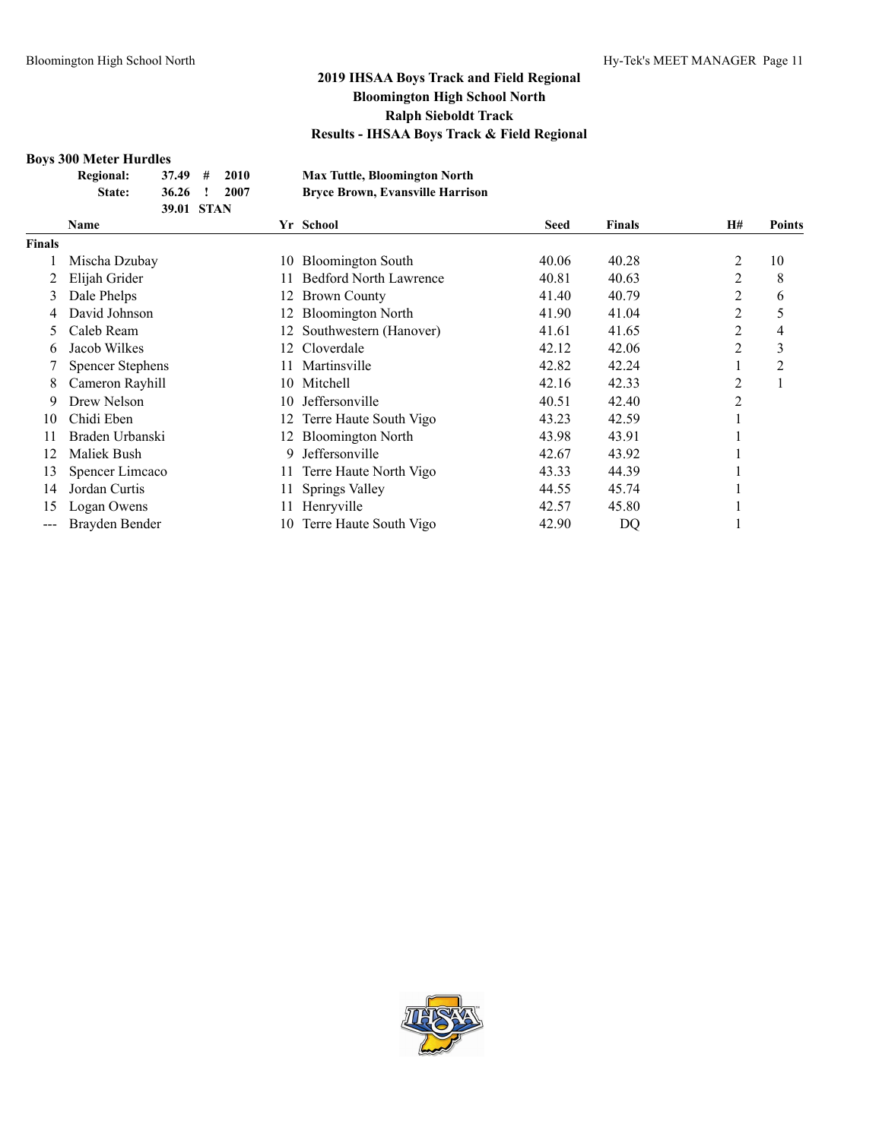#### **Boys 300 Meter Hurdle**

|               | DOVS JUU MELET HUTUIES         |      |                                         |             |               |                |               |
|---------------|--------------------------------|------|-----------------------------------------|-------------|---------------|----------------|---------------|
|               | <b>Regional:</b><br>37.49<br># | 2010 | <b>Max Tuttle, Bloomington North</b>    |             |               |                |               |
|               | 36.26<br>State:                | 2007 | <b>Bryce Brown, Evansville Harrison</b> |             |               |                |               |
|               | 39.01 STAN                     |      |                                         |             |               |                |               |
|               | Name                           |      | Yr School                               | <b>Seed</b> | <b>Finals</b> | <b>H#</b>      | <b>Points</b> |
| <b>Finals</b> |                                |      |                                         |             |               |                |               |
|               | Mischa Dzubay                  | 10   | <b>Bloomington South</b>                | 40.06       | 40.28         | 2              | 10            |
|               | Elijah Grider                  | 11.  | <b>Bedford North Lawrence</b>           | 40.81       | 40.63         | 2              | 8             |
|               | Dale Phelps                    | 12   | <b>Brown County</b>                     | 41.40       | 40.79         | 2              | 6             |
| 4             | David Johnson                  | 12   | <b>Bloomington North</b>                | 41.90       | 41.04         | 2              | 5             |
| 5             | Caleb Ream                     |      | Southwestern (Hanover)                  | 41.61       | 41.65         | 2              | 4             |
| 6             | Jacob Wilkes                   | 12   | Cloverdale                              | 42.12       | 42.06         | 2              | 3             |
|               | <b>Spencer Stephens</b>        |      | Martinsville                            | 42.82       | 42.24         |                | 2             |
| 8             | Cameron Rayhill                | 10   | Mitchell                                | 42.16       | 42.33         | 2              |               |
| 9             | Drew Nelson                    | 10   | Jeffersonville                          | 40.51       | 42.40         | $\overline{c}$ |               |
| 10            | Chidi Eben                     | 12   | Terre Haute South Vigo                  | 43.23       | 42.59         | 1              |               |
| 11            | Braden Urbanski                | 12   | <b>Bloomington North</b>                | 43.98       | 43.91         |                |               |
| 12            | Maliek Bush                    | 9    | Jeffersonville                          | 42.67       | 43.92         |                |               |
| 13            | Spencer Limcaco                | 11.  | Terre Haute North Vigo                  | 43.33       | 44.39         |                |               |
| 14            | Jordan Curtis                  | 11   | Springs Valley                          | 44.55       | 45.74         |                |               |
| 15            | Logan Owens                    | 11   | Henryville                              | 42.57       | 45.80         |                |               |
| ---           | Brayden Bender                 | 10   | Terre Haute South Vigo                  | 42.90       | DQ            |                |               |
|               |                                |      |                                         |             |               |                |               |

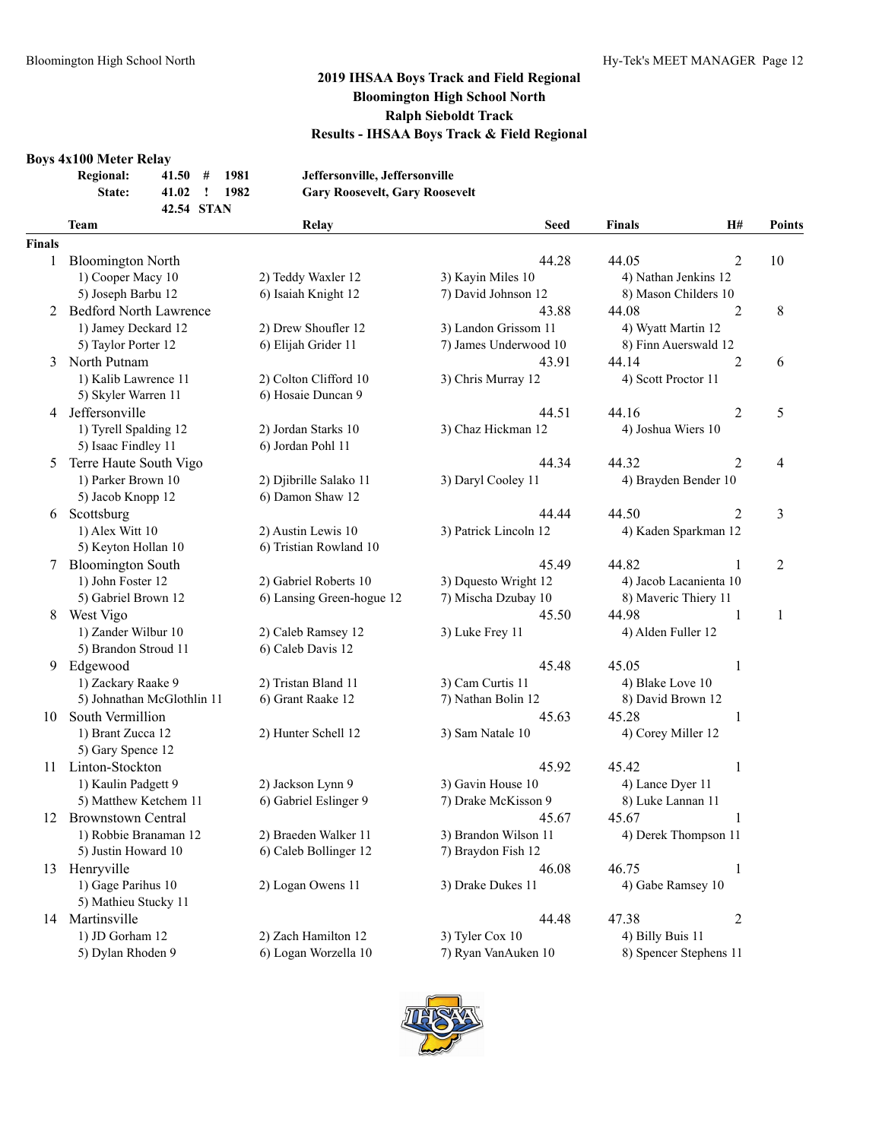#### **Boys 4x100 Meter Relay**

| . | <b>Regional:</b> | 41.50      | # | -1981 | Jeffersonville, Jeffersonville        |
|---|------------------|------------|---|-------|---------------------------------------|
|   | <b>State:</b>    | 41.02 !    |   | 1982  | <b>Gary Roosevelt, Gary Roosevelt</b> |
|   |                  | 42.54 STAN |   |       |                                       |

#### **Team Relay Seed Finals H# Points Finals**

| nals |                            |                           |                       |                         |                |
|------|----------------------------|---------------------------|-----------------------|-------------------------|----------------|
| 1    | <b>Bloomington North</b>   |                           | 44.28                 | 44.05<br>2              | 10             |
|      | 1) Cooper Macy 10          | 2) Teddy Waxler 12        | 3) Kayin Miles 10     | 4) Nathan Jenkins 12    |                |
|      | 5) Joseph Barbu 12         | 6) Isaiah Knight 12       | 7) David Johnson 12   | 8) Mason Childers 10    |                |
|      | 2 Bedford North Lawrence   |                           | 43.88                 | 44.08<br>$\overline{2}$ | $\,8\,$        |
|      | 1) Jamey Deckard 12        | 2) Drew Shoufler 12       | 3) Landon Grissom 11  | 4) Wyatt Martin 12      |                |
|      | 5) Taylor Porter 12        | 6) Elijah Grider 11       | 7) James Underwood 10 | 8) Finn Auerswald 12    |                |
|      | 3 North Putnam             |                           | 43.91                 | 44.14<br>2              | 6              |
|      | 1) Kalib Lawrence 11       | 2) Colton Clifford 10     | 3) Chris Murray 12    | 4) Scott Proctor 11     |                |
|      | 5) Skyler Warren 11        | 6) Hosaie Duncan 9        |                       |                         |                |
|      | 4 Jeffersonville           |                           | 44.51                 | 44.16<br>2              | 5              |
|      | 1) Tyrell Spalding 12      | 2) Jordan Starks 10       | 3) Chaz Hickman 12    | 4) Joshua Wiers 10      |                |
|      | 5) Isaac Findley 11        | 6) Jordan Pohl 11         |                       |                         |                |
| 5    | Terre Haute South Vigo     |                           | 44.34                 | 44.32<br>2              | $\overline{4}$ |
|      | 1) Parker Brown 10         | 2) Djibrille Salako 11    | 3) Daryl Cooley 11    | 4) Brayden Bender 10    |                |
|      | 5) Jacob Knopp 12          | 6) Damon Shaw 12          |                       |                         |                |
|      | 6 Scottsburg               |                           | 44.44                 | 44.50<br>2              | 3              |
|      | 1) Alex Witt 10            | 2) Austin Lewis 10        | 3) Patrick Lincoln 12 | 4) Kaden Sparkman 12    |                |
|      | 5) Keyton Hollan 10        | 6) Tristian Rowland 10    |                       |                         |                |
|      | 7 Bloomington South        |                           | 45.49                 | 44.82                   | $\overline{2}$ |
|      | 1) John Foster 12          | 2) Gabriel Roberts 10     | 3) Dquesto Wright 12  | 4) Jacob Lacanienta 10  |                |
|      | 5) Gabriel Brown 12        | 6) Lansing Green-hogue 12 | 7) Mischa Dzubay 10   | 8) Maveric Thiery 11    |                |
| 8    | West Vigo                  |                           | 45.50                 | 44.98<br>1              | $\mathbf{1}$   |
|      | 1) Zander Wilbur 10        | 2) Caleb Ramsey 12        | 3) Luke Frey 11       | 4) Alden Fuller 12      |                |
|      | 5) Brandon Stroud 11       | 6) Caleb Davis 12         |                       |                         |                |
|      | 9 Edgewood                 |                           | 45.48                 | 45.05<br>1              |                |
|      | 1) Zackary Raake 9         | 2) Tristan Bland 11       | 3) Cam Curtis 11      | 4) Blake Love 10        |                |
|      | 5) Johnathan McGlothlin 11 | 6) Grant Raake 12         | 7) Nathan Bolin 12    | 8) David Brown 12       |                |
|      | 10 South Vermillion        |                           | 45.63                 | 45.28<br>1              |                |
|      | 1) Brant Zucca 12          | 2) Hunter Schell 12       | 3) Sam Natale 10      | 4) Corey Miller 12      |                |
|      | 5) Gary Spence 12          |                           |                       |                         |                |
|      | 11 Linton-Stockton         |                           | 45.92                 | 45.42<br>$\mathbf{1}$   |                |
|      | 1) Kaulin Padgett 9        | 2) Jackson Lynn 9         | 3) Gavin House 10     | 4) Lance Dyer 11        |                |
|      | 5) Matthew Ketchem 11      | 6) Gabriel Eslinger 9     | 7) Drake McKisson 9   | 8) Luke Lannan 11       |                |
|      | 12 Brownstown Central      |                           | 45.67                 | $\mathbf{1}$<br>45.67   |                |
|      | 1) Robbie Branaman 12      | 2) Braeden Walker 11      | 3) Brandon Wilson 11  | 4) Derek Thompson 11    |                |
|      | 5) Justin Howard 10        | 6) Caleb Bollinger 12     | 7) Braydon Fish 12    |                         |                |
|      | 13 Henryville              |                           | 46.08                 | 46.75<br>1              |                |
|      | 1) Gage Parihus 10         | 2) Logan Owens 11         | 3) Drake Dukes 11     | 4) Gabe Ramsey 10       |                |
|      | 5) Mathieu Stucky 11       |                           |                       |                         |                |
|      | 14 Martinsville            |                           | 44.48                 | 47.38<br>$\overline{2}$ |                |
|      | 1) JD Gorham 12            | 2) Zach Hamilton 12       | 3) Tyler Cox 10       | 4) Billy Buis 11        |                |
|      | 5) Dylan Rhoden 9          | 6) Logan Worzella 10      | 7) Ryan VanAuken 10   | 8) Spencer Stephens 11  |                |

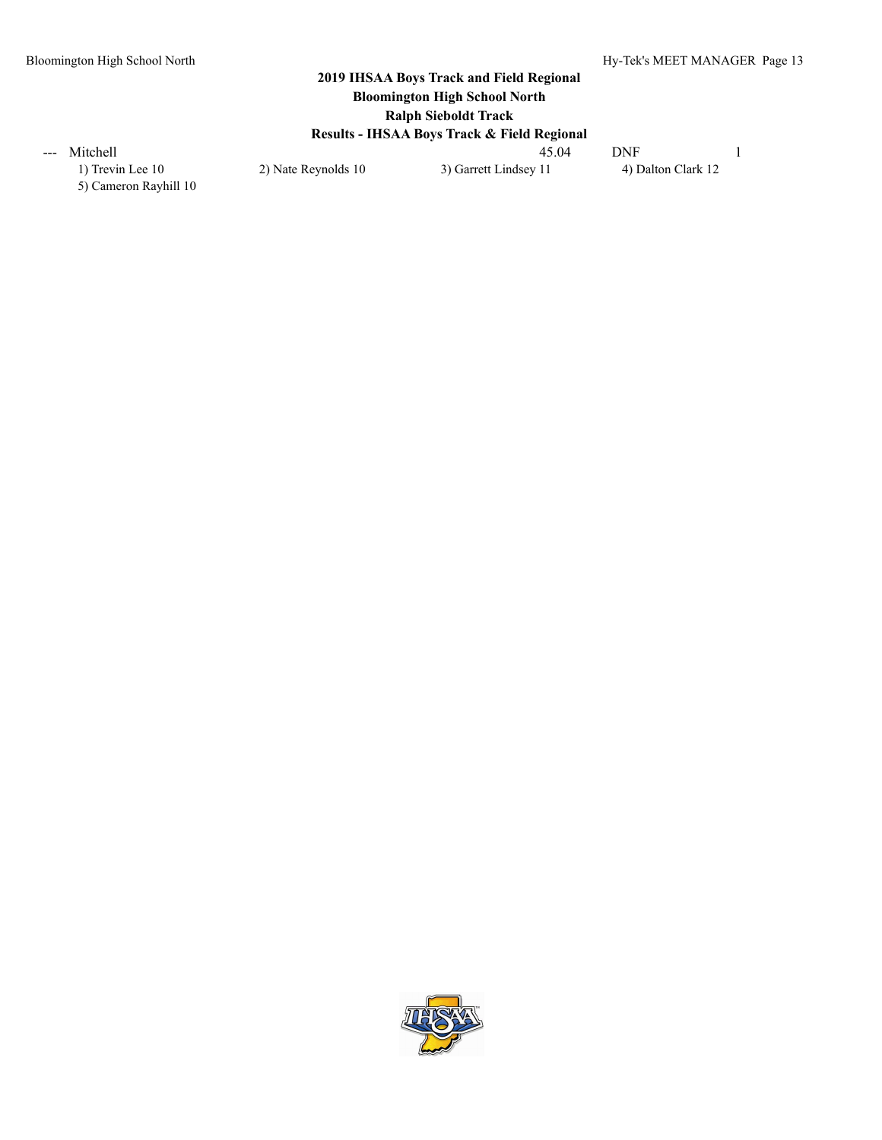1) Trevin Lee 10 2) Nate Reynolds 10 3) Garrett Lindsey 11 4) Dalton Clark 12 5) Cameron Rayhill 10

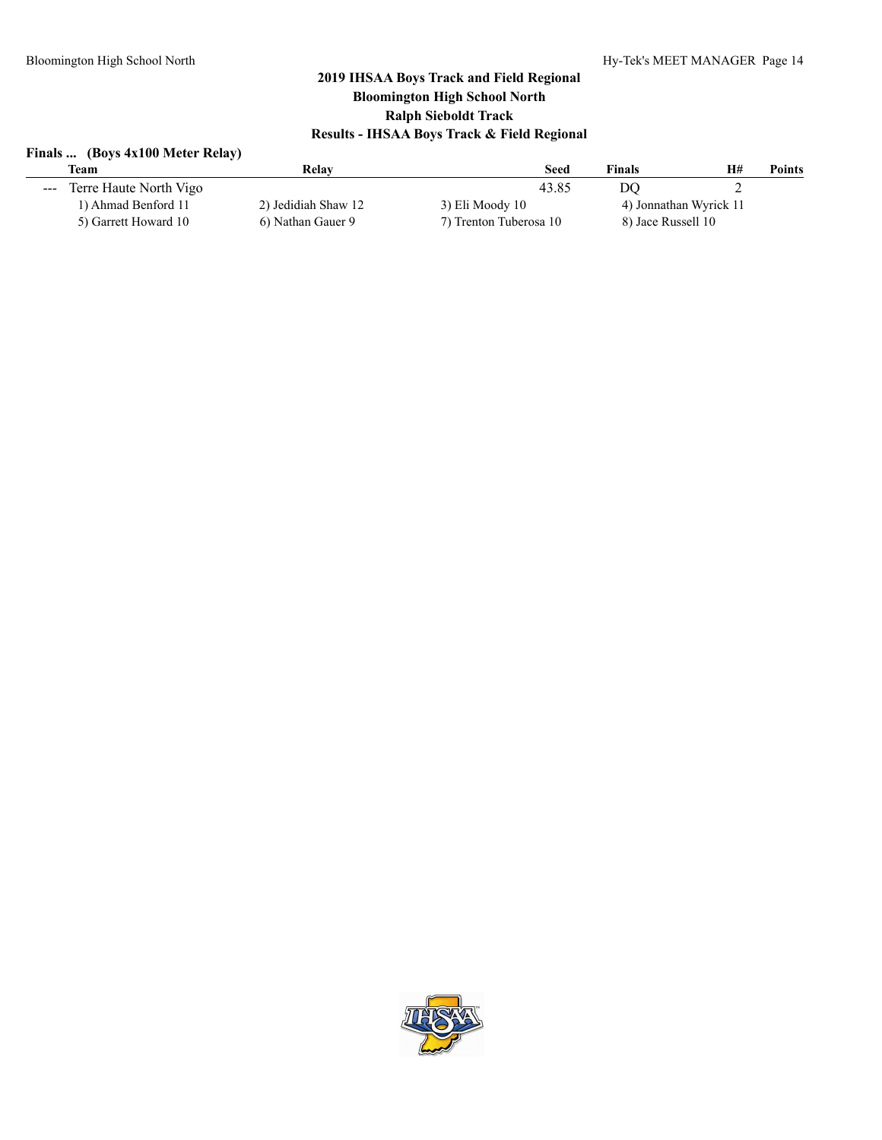# **Finals ... (Boys 4x100 Meter Relay)**

|                                                                                                                                                                                                                                                                                                                                                                                                                                                                            | <b>Team</b>            | Relav               | <b>Seed</b>            | <b>Finals</b>      | H#                     | <b>Points</b> |
|----------------------------------------------------------------------------------------------------------------------------------------------------------------------------------------------------------------------------------------------------------------------------------------------------------------------------------------------------------------------------------------------------------------------------------------------------------------------------|------------------------|---------------------|------------------------|--------------------|------------------------|---------------|
| $\frac{1}{2} \left( \frac{1}{2} \right) \left( \frac{1}{2} \right) \left( \frac{1}{2} \right) \left( \frac{1}{2} \right) \left( \frac{1}{2} \right) \left( \frac{1}{2} \right) \left( \frac{1}{2} \right) \left( \frac{1}{2} \right) \left( \frac{1}{2} \right) \left( \frac{1}{2} \right) \left( \frac{1}{2} \right) \left( \frac{1}{2} \right) \left( \frac{1}{2} \right) \left( \frac{1}{2} \right) \left( \frac{1}{2} \right) \left( \frac{1}{2} \right) \left( \frac$ | Terre Haute North Vigo |                     | 43.85                  | DO                 | ∽                      |               |
|                                                                                                                                                                                                                                                                                                                                                                                                                                                                            | 1) Ahmad Benford 11    | 2) Jedidiah Shaw 12 | 3) Eli Moody 10        |                    | 4) Jonnathan Wyrick 11 |               |
|                                                                                                                                                                                                                                                                                                                                                                                                                                                                            | 5) Garrett Howard 10   | 6) Nathan Gauer 9   | 7) Trenton Tuberosa 10 | 8) Jace Russell 10 |                        |               |
|                                                                                                                                                                                                                                                                                                                                                                                                                                                                            |                        |                     |                        |                    |                        |               |

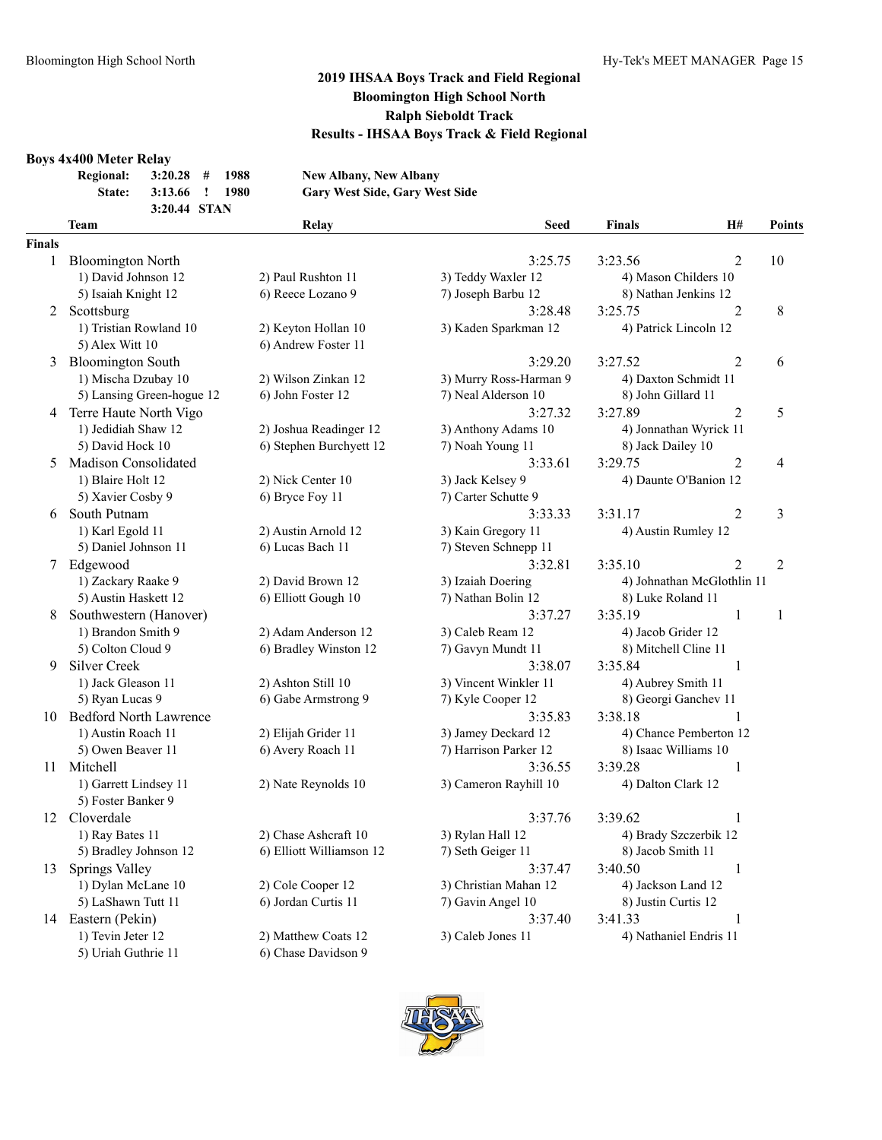#### **Boys 4x400 Meter Relay**

| , 14 199 1910001 100101  |                |  |                                       |
|--------------------------|----------------|--|---------------------------------------|
| Regional: 3:20.28 # 1988 |                |  | <b>New Albany, New Albany</b>         |
| State:                   | 3:13.66 ! 1980 |  | <b>Gary West Side, Gary West Side</b> |
|                          | 3:20.44 STAN   |  |                                       |

#### **Team Relay Seed Finals H# Points Finals** 1 Bloomington North 3:25.75 3:23.56 2 10 1) David Johnson 12 2) Paul Rushton 11 3) Teddy Waxler 12 4) Mason Childers 10 5) Isaiah Knight 12 6) Reece Lozano 9 7) Joseph Barbu 12 8) Nathan Jenkins 12 2 Scottsburg 2 8 3:28.48 3:25.75 2 8 1) Tristian Rowland 10 2) Keyton Hollan 10 3) Kaden Sparkman 12 4) Patrick Lincoln 12 5) Alex Witt 10 6) Andrew Foster 11 3 Bloomington South 3:29.20 3:27.52 2 6 1) Mischa Dzubay 10 2) Wilson Zinkan 12 3) Murry Ross-Harman 9 4) Daxton Schmidt 11 5) Lansing Green-hogue 12 6) John Foster 12 7) Neal Alderson 10 8) John Gillard 11 4 Terre Haute North Vigo 3:27.32 3:27.89 2 5 1) Jedidiah Shaw 12 2) Joshua Readinger 12 3) Anthony Adams 10 4) Jonnathan Wyrick 11 5) David Hock 10 6) Stephen Burchyett 12 7) Noah Young 11 8) Jack Dailey 10 5 Madison Consolidated 3:33.61 3:29.75 2 4 1) Blaire Holt 12 2) Nick Center 10 3) Jack Kelsey 9 4) Daunte O'Banion 12 5) Xavier Cosby 9 6) Bryce Foy 11 7) Carter Schutte 9 6 South Putnam 3:33.33 3:31.17 2 3 1) Karl Egold 11 2) Austin Arnold 12 3) Kain Gregory 11 4) Austin Rumley 12 5) Daniel Johnson 11 6) Lucas Bach 11 7) Steven Schnepp 11 7 Edgewood 3:32.81 3:35.10 2 2 1) Zackary Raake 9 2) David Brown 12 3) Izaiah Doering 4) Johnathan McGlothlin 11 5) Austin Haskett 12 6) Elliott Gough 10 7) Nathan Bolin 12 8) Luke Roland 11 8 Southwestern (Hanover) 3:37.27 3:35.19 1 1 1) Brandon Smith 9 2) Adam Anderson 12 3) Caleb Ream 12 4) Jacob Grider 12 5) Colton Cloud 9 6) Bradley Winston 12 7) Gavyn Mundt 11 8) Mitchell Cline 11 9 Silver Creek 3:38.07 3:35.84 1 1) Jack Gleason 11 2) Ashton Still 10 3) Vincent Winkler 11 4) Aubrey Smith 11 5) Ryan Lucas 9 6) Gabe Armstrong 9 7) Kyle Cooper 12 8) Georgi Ganchev 11 10 Bedford North Lawrence 3:35.83 3:38.18 1 1) Austin Roach 11 2) Elijah Grider 11 3) Jamey Deckard 12 4) Chance Pemberton 12 5) Owen Beaver 11 6) Avery Roach 11 7) Harrison Parker 12 8) Isaac Williams 10 11 Mitchell 3:36.55 3:39.28 1 1) Garrett Lindsey 11 2) Nate Reynolds 10 3) Cameron Rayhill 10 4) Dalton Clark 12 5) Foster Banker 9 12 Cloverdale 3:37.76 3:39.62 1 1) Ray Bates 11 2) Chase Ashcraft 10 3) Rylan Hall 12 4) Brady Szczerbik 12 5) Bradley Johnson 12 6) Elliott Williamson 12 7) Seth Geiger 11 8) Jacob Smith 11 13 Springs Valley 3:37.47 3:40.50 1 1) Dylan McLane 10 2) Cole Cooper 12 3) Christian Mahan 12 4) Jackson Land 12 5) LaShawn Tutt 11 6) Jordan Curtis 11 7) Gavin Angel 10 8) Justin Curtis 12 14 Eastern (Pekin) 3:37.40 3:41.33 1 1) Tevin Jeter 12 2) Matthew Coats 12 3) Caleb Jones 11 4) Nathaniel Endris 11 5) Uriah Guthrie 11 6) Chase Davidson 9

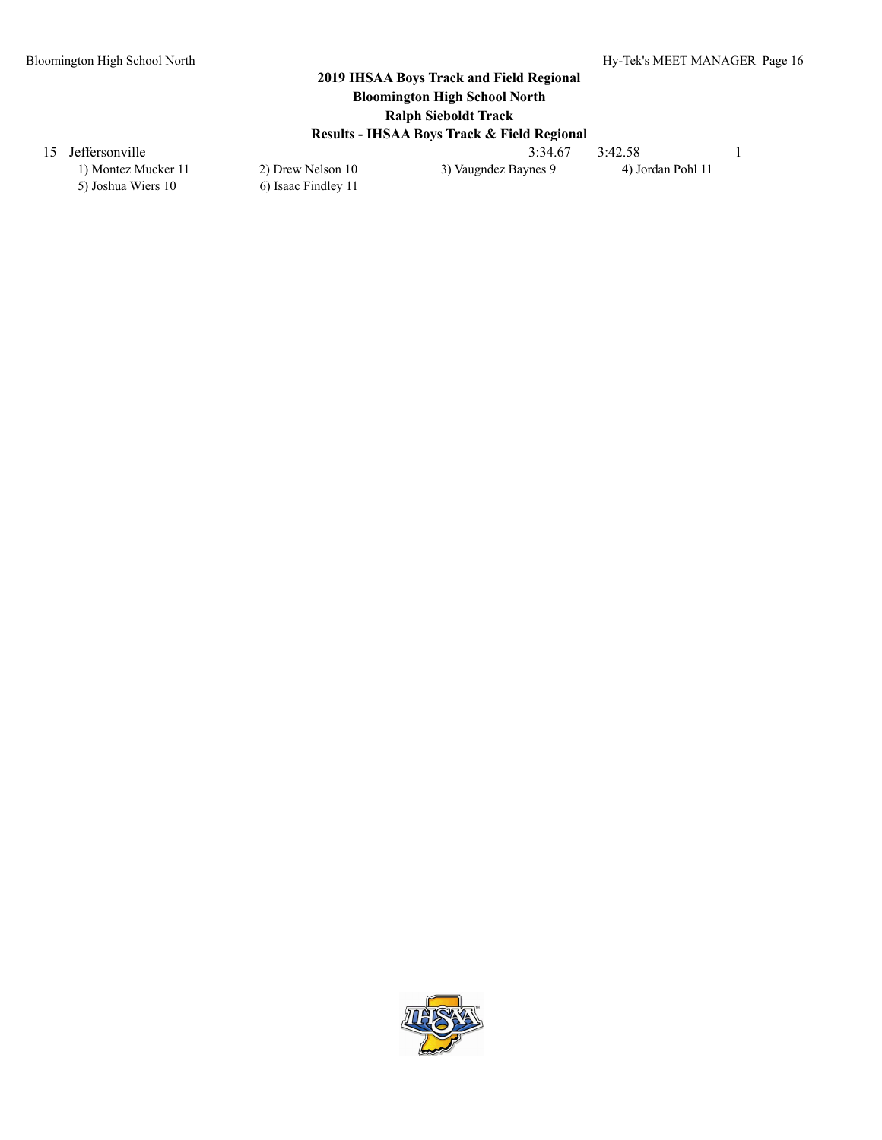5) Joshua Wiers 10 6) Isaac Findley 11

15 Jeffersonville 3:34.67 3:42.58 1<br>11 11 20 Drew Nelson 10 3) Vaugndez Baynes 9 4) Jordan Pohl 11 20 3) Vaugndez Baynes 9

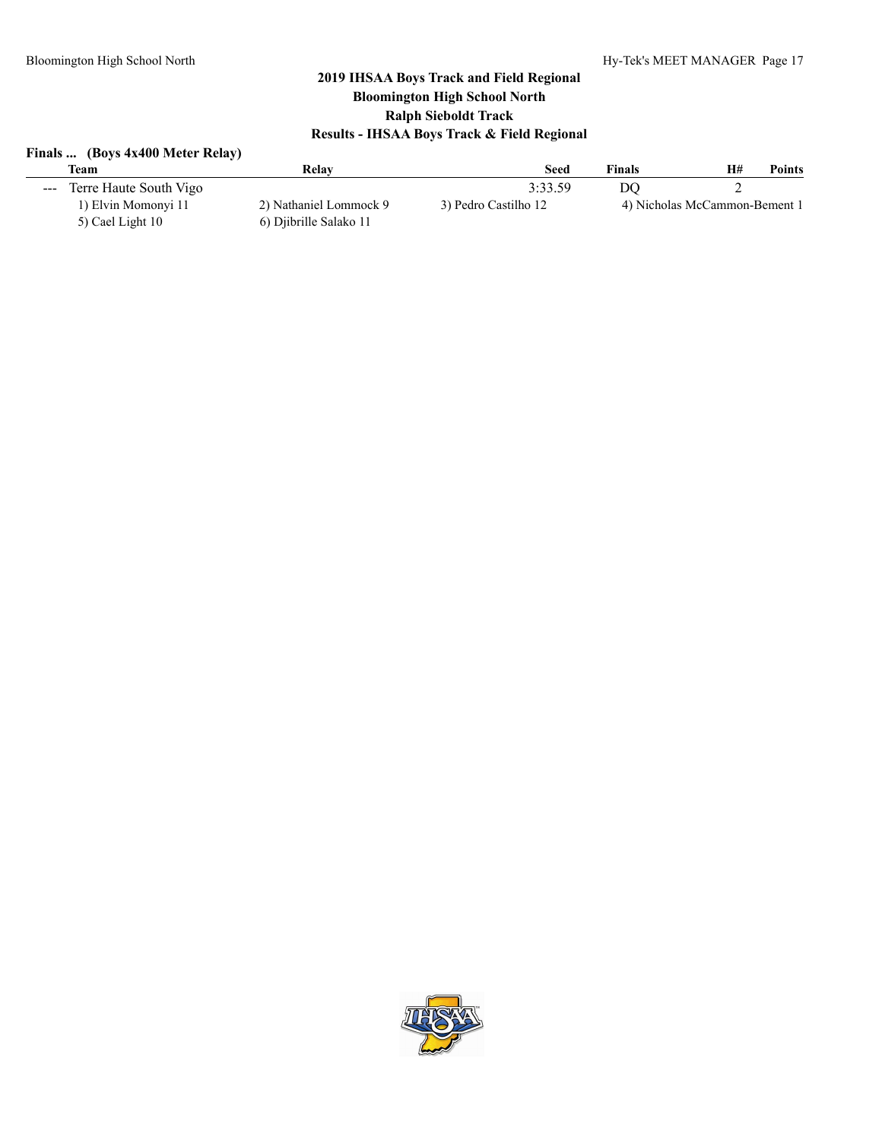#### **Finals ... (Boys 4x400 Meter Relay)**

| Team                                                                                                                                                                                                                                                                                                                                                                                                                                                                                                 | Relav                  | Seed                 | Finals | H#<br><b>Points</b>           |
|------------------------------------------------------------------------------------------------------------------------------------------------------------------------------------------------------------------------------------------------------------------------------------------------------------------------------------------------------------------------------------------------------------------------------------------------------------------------------------------------------|------------------------|----------------------|--------|-------------------------------|
| Terre Haute South Vigo<br>$\frac{1}{2} \left( \frac{1}{2} \right) \left( \frac{1}{2} \right) \left( \frac{1}{2} \right) \left( \frac{1}{2} \right) \left( \frac{1}{2} \right) \left( \frac{1}{2} \right) \left( \frac{1}{2} \right) \left( \frac{1}{2} \right) \left( \frac{1}{2} \right) \left( \frac{1}{2} \right) \left( \frac{1}{2} \right) \left( \frac{1}{2} \right) \left( \frac{1}{2} \right) \left( \frac{1}{2} \right) \left( \frac{1}{2} \right) \left( \frac{1}{2} \right) \left( \frac$ |                        | 3:33.59              | DO     |                               |
| 1) Elvin Momonyi 11                                                                                                                                                                                                                                                                                                                                                                                                                                                                                  | 2) Nathaniel Lommock 9 | 3) Pedro Castilho 12 |        | 4) Nicholas McCammon-Bement 1 |
| 5) Cael Light 10                                                                                                                                                                                                                                                                                                                                                                                                                                                                                     | 6) Djibrille Salako 11 |                      |        |                               |

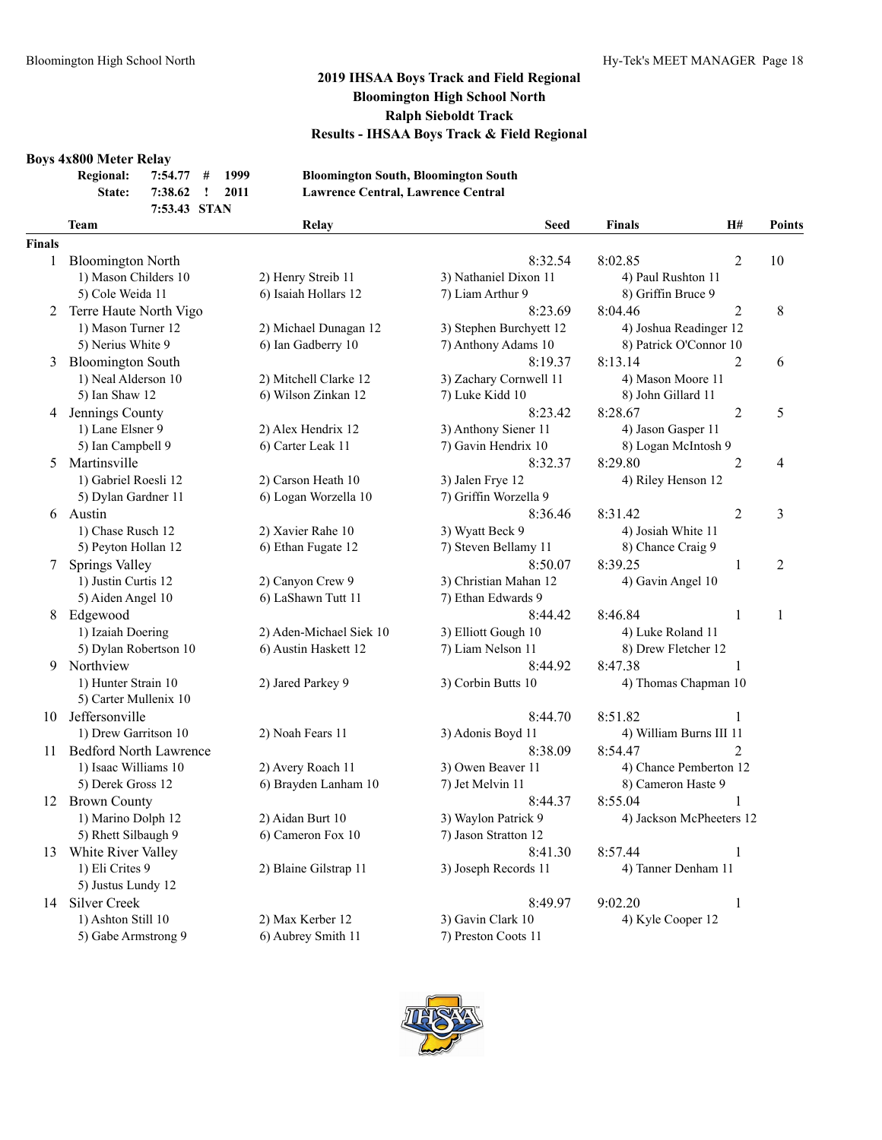#### **Boys 4x800 Meter Relay**

| <b>Regional:</b> | $7:54.77$ # 1999 |      |  |
|------------------|------------------|------|--|
| State:           | 7:38.62 ! 2011   |      |  |
|                  |                  | CFTI |  |

**Regional: 7:54.77 # 1999 Bloomington South, Bloomington South State: 7:38.62 ! 2011 Lawrence Central, Lawrence Central**

#### **7:53.43 STAN Team Relay Seed Finals H# Points Finals** 1 Bloomington North 8:32.54 8:02.85 2 10 1) Mason Childers 10 2) Henry Streib 11 3) Nathaniel Dixon 11 4) Paul Rushton 11 5) Cole Weida 11 6) Isaiah Hollars 12 7) Liam Arthur 9 8) Griffin Bruce 9 2 Terre Haute North Vigo 8:04.46 2 8 1) Mason Turner 12 2) Michael Dunagan 12 3) Stephen Burchyett 12 4) Joshua Readinger 12 5) Nerius White 9 6) Ian Gadberry 10 7) Anthony Adams 10 8) Patrick O'Connor 10 3 Bloomington South 8:19.37 8:13.14 2 6 1) Neal Alderson 10 2) Mitchell Clarke 12 3) Zachary Cornwell 11 4) Mason Moore 11 5) Ian Shaw 12 6) Wilson Zinkan 12 7) Luke Kidd 10 8) John Gillard 11 4 Jennings County 2 5 1) Lane Elsner 9 2) Alex Hendrix 12 3) Anthony Siener 11 4) Jason Gasper 11 5) Ian Campbell 9 6) Carter Leak 11 7) Gavin Hendrix 10 8) Logan McIntosh 9 5 Martinsville 2 2 4 1) Gabriel Roesli 12 2) Carson Heath 10 3) Jalen Frye 12 4) Riley Henson 12 5) Dylan Gardner 11 6) Logan Worzella 10 7) Griffin Worzella 9 6 Austin 8:36.46 8:31.42 2 3 1) Chase Rusch 12 2) Xavier Rahe 10 3) Wyatt Beck 9 4) Josiah White 11 5) Peyton Hollan 12 6) Ethan Fugate 12 7) Steven Bellamy 11 8) Chance Craig 9 7 Springs Valley 8:50.07 8:39.25 1 2 1) Justin Curtis 12 2) Canyon Crew 9 3) Christian Mahan 12 4) Gavin Angel 10 5) Aiden Angel 10 6) LaShawn Tutt 11 7) Ethan Edwards 9 8 Edgewood 8:44.42 8:46.84 1 1 1) Izaiah Doering 2) Aden-Michael Siek 10 3) Elliott Gough 10 4) Luke Roland 11 5) Dylan Robertson 10 6) Austin Haskett 12 7) Liam Nelson 11 8) Drew Fletcher 12 9 Northview 8:44.92 8:47.38 1 1) Hunter Strain 10 2) Jared Parkey 9 3) Corbin Butts 10 4) Thomas Chapman 10 5) Carter Mullenix 10 10 Jeffersonville 2012 12:51.82 12:51.82 12:51.82 12:51.82 12:51.82 12:51.82 12:51.82 12:51.82 12:51.82 12:51.82 12:51.82 12:51.82 12:51.82 12:51.82 12:51.82 12:51.82 12:51.82 12:51.82 12:51.82 12:51.82 12:51.82 12:51.82 1 1) Drew Garritson 10 2) Noah Fears 11 3) Adonis Boyd 11 4) William Burns III 11 11 Bedford North Lawrence 8:38.09 8:54.47 2 1) Isaac Williams 10 2) Avery Roach 11 3) Owen Beaver 11 4) Chance Pemberton 12 5) Derek Gross 12 6) Brayden Lanham 10 7) Jet Melvin 11 8) Cameron Haste 9 12 Brown County 12 Brown County 12 Brown County 12 Brown County 1 1) Marino Dolph 12 2) Aidan Burt 10 3) Waylon Patrick 9 4) Jackson McPheeters 12 5) Rhett Silbaugh 9 6) Cameron Fox 10 7) Jason Stratton 12

13 White River Valley 1 and 1 and 1 and 1 and 1 and 1 and 1 and 1 and 1 and 1 and 1 and 1 and 1 and 1 and 1 and 1 and 1 and 1 and 1 and 1 and 1 and 1 and 1 and 1 and 1 and 1 and 1 and 1 and 1 and 1 and 1 and 1 and 1 and 1 1) Eli Crites 9 2) Blaine Gilstrap 11 3) Joseph Records 11 4) Tanner Denham 11 5) Justus Lundy 12 14 Silver Creek 8:49.97 9:02.20 1

5) Gabe Armstrong 9 6) Aubrey Smith 11 7) Preston Coots 11

1) Ashton Still 10 2) Max Kerber 12 3) Gavin Clark 10 4) Kyle Cooper 12

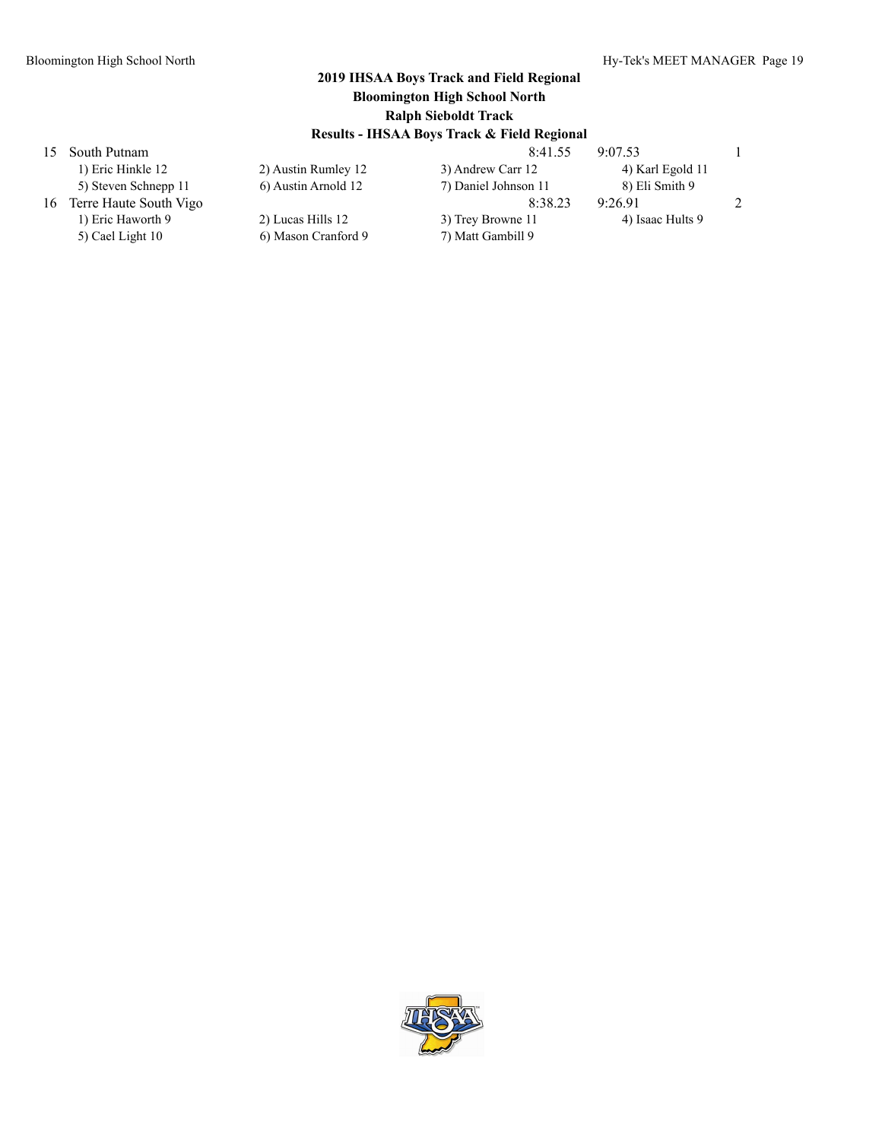|    | 1) Eric Hinkle 12      |
|----|------------------------|
|    | 5) Steven Schnepp 11   |
| 16 | Terre Haute South Vigo |
|    | 1) Eric Haworth 9      |

5) Cael Light 10 6) Mason Cranford 9 7) Matt Gambill 9

15 South Putnam 8:41.55 9:07.53 1 2) Austin Rumley 12 3) Andrew Carr 12 4) Karl Egold 11 5) Austin Arnold 12 7) Daniel Johnson 11 8) Eli Smith 9 16 Terre Haute South Vigo 2 2008 12:38.23 9:26.91 2 2) Lucas Hills 12 3) Trey Browne 11 4) Isaac Hults 9

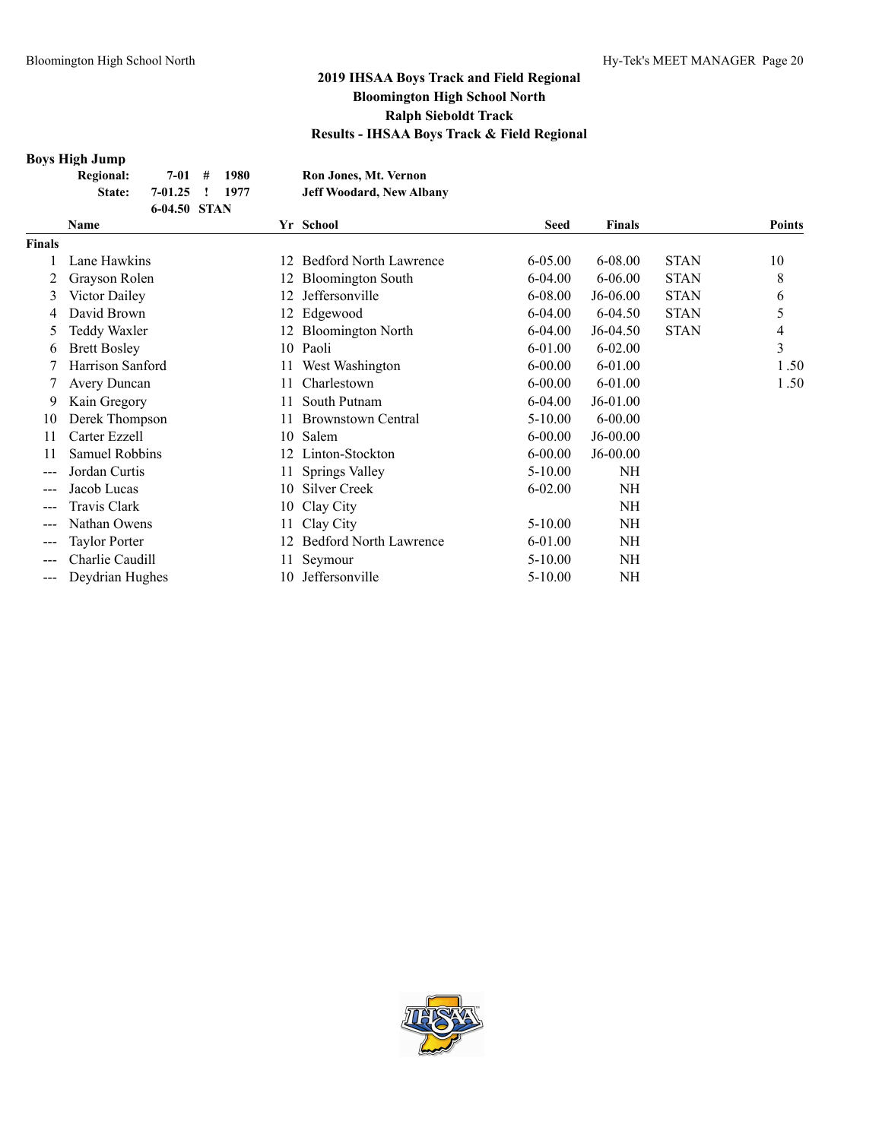#### **Boys High Jump**

| <b>Regional:</b> |                | $7-01$ # 1980 | Ron Jones, Mt. Vernon           |
|------------------|----------------|---------------|---------------------------------|
| State:           | 7-01.25 ! 1977 |               | <b>Jeff Woodard, New Albany</b> |
|                  | 6-04.50 STAN   |               |                                 |

|               | Name                 |     | Yr School                     | Seed        | <b>Finals</b> |             | <b>Points</b> |
|---------------|----------------------|-----|-------------------------------|-------------|---------------|-------------|---------------|
| <b>Finals</b> |                      |     |                               |             |               |             |               |
|               | Lane Hawkins         | 12  | <b>Bedford North Lawrence</b> | $6 - 05.00$ | 6-08.00       | <b>STAN</b> | 10            |
|               | Grayson Rolen        |     | <b>Bloomington South</b>      | $6 - 04.00$ | $6 - 06.00$   | <b>STAN</b> | 8             |
| 3             | Victor Dailey        | 12. | Jeffersonville                | 6-08.00     | J6-06.00      | <b>STAN</b> | 6             |
| 4             | David Brown          |     | 12 Edgewood                   | $6 - 04.00$ | 6-04.50       | <b>STAN</b> | 5             |
| 5             | Teddy Waxler         | 12. | <b>Bloomington North</b>      | $6 - 04.00$ | $J6-04.50$    | <b>STAN</b> | 4             |
| 6             | <b>Brett Bosley</b>  | 10  | Paoli                         | $6 - 01.00$ | $6 - 02.00$   |             | 3             |
|               | Harrison Sanford     |     | West Washington               | $6 - 00.00$ | $6 - 01.00$   |             | 1.50          |
|               | Avery Duncan         | 11  | Charlestown                   | $6 - 00.00$ | 6-01.00       |             | 1.50          |
| 9             | Kain Gregory         |     | South Putnam                  | $6 - 04.00$ | $J6-01.00$    |             |               |
| 10            | Derek Thompson       |     | <b>Brownstown Central</b>     | $5-10.00$   | $6 - 00.00$   |             |               |
| 11            | Carter Ezzell        | 10  | Salem                         | $6 - 00.00$ | $J6-00.00$    |             |               |
| 11            | Samuel Robbins       | 12. | Linton-Stockton               | $6 - 00.00$ | $J6-00.00$    |             |               |
| ---           | Jordan Curtis        | 11  | Springs Valley                | $5 - 10.00$ | NH            |             |               |
| $--$          | Jacob Lucas          | 10  | Silver Creek                  | $6 - 02.00$ | NH            |             |               |
| $---$         | Travis Clark         | 10  | Clay City                     |             | NH            |             |               |
| $--$          | Nathan Owens         |     | Clay City                     | $5 - 10.00$ | NH            |             |               |
| $---$         | <b>Taylor Porter</b> | 12. | <b>Bedford North Lawrence</b> | 6-01.00     | NH            |             |               |
| ---           | Charlie Caudill      |     | Seymour                       | $5-10.00$   | NH            |             |               |
| $---$         | Deydrian Hughes      | 10  | Jeffersonville                | $5 - 10.00$ | NΗ            |             |               |

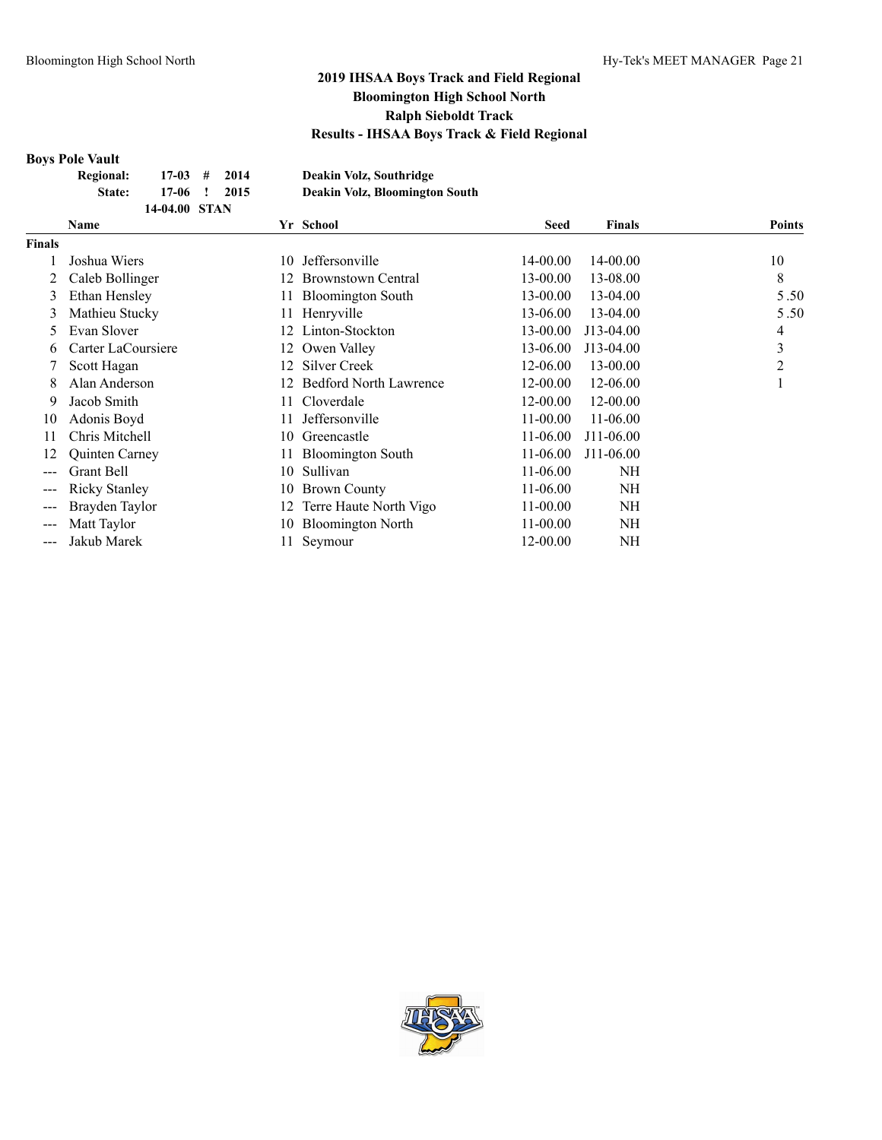# **Boys Pole Vault**

| JYƏ 1 VIV YAUIL  |               |      |                                       |
|------------------|---------------|------|---------------------------------------|
| <b>Regional:</b> | $17-03$ #     | 2014 | Deakin Volz, Southridge               |
| State:           | $17-06$ !     | 2015 | <b>Deakin Volz, Bloomington South</b> |
|                  | 14-04.00 STAN |      |                                       |

|                        | <b>Name</b>          |     | Yr School                     | Seed         | <b>Finals</b> | <b>Points</b> |
|------------------------|----------------------|-----|-------------------------------|--------------|---------------|---------------|
| <b>Finals</b>          |                      |     |                               |              |               |               |
|                        | Joshua Wiers         | 10  | Jeffersonville                | 14-00.00     | 14-00.00      | 10            |
|                        | Caleb Bollinger      | 12. | <b>Brownstown Central</b>     | 13-00.00     | 13-08.00      | 8             |
| 3                      | Ethan Hensley        | 11  | <b>Bloomington South</b>      | 13-00.00     | 13-04.00      | 5.50          |
| 3                      | Mathieu Stucky       | 11  | Henryville                    | 13-06.00     | 13-04.00      | 5.50          |
| 5                      | Evan Slover          | 12. | Linton-Stockton               | 13-00.00     | J13-04.00     | 4             |
| 6                      | Carter LaCoursiere   |     | 12 Owen Valley                | 13-06.00     | J13-04.00     | 3             |
|                        | Scott Hagan          | 12. | Silver Creek                  | 12-06.00     | 13-00.00      | 2             |
| 8                      | Alan Anderson        | 12. | <b>Bedford North Lawrence</b> | 12-00.00     | 12-06.00      | I.            |
| 9                      | Jacob Smith          | 11- | Cloverdale                    | 12-00.00     | 12-00.00      |               |
| 10                     | Adonis Boyd          | 11  | Jeffersonville                | 11-00.00     | 11-06.00      |               |
| 11                     | Chris Mitchell       | 10  | Greencastle                   | 11-06.00     | J11-06.00     |               |
| 12                     | Quinten Carney       |     | <b>Bloomington South</b>      | 11-06.00     | J11-06.00     |               |
|                        | Grant Bell           | 10  | Sullivan                      | 11-06.00     | NH            |               |
|                        | <b>Ricky Stanley</b> | 10  | <b>Brown County</b>           | 11-06.00     | NH            |               |
|                        | Brayden Taylor       | 12. | Terre Haute North Vigo        | $11 - 00.00$ | NH            |               |
| ---                    | Matt Taylor          | 10  | <b>Bloomington North</b>      | $11 - 00.00$ | NH            |               |
| $\qquad \qquad \cdots$ | Jakub Marek          |     | Seymour                       | 12-00.00     | NH            |               |

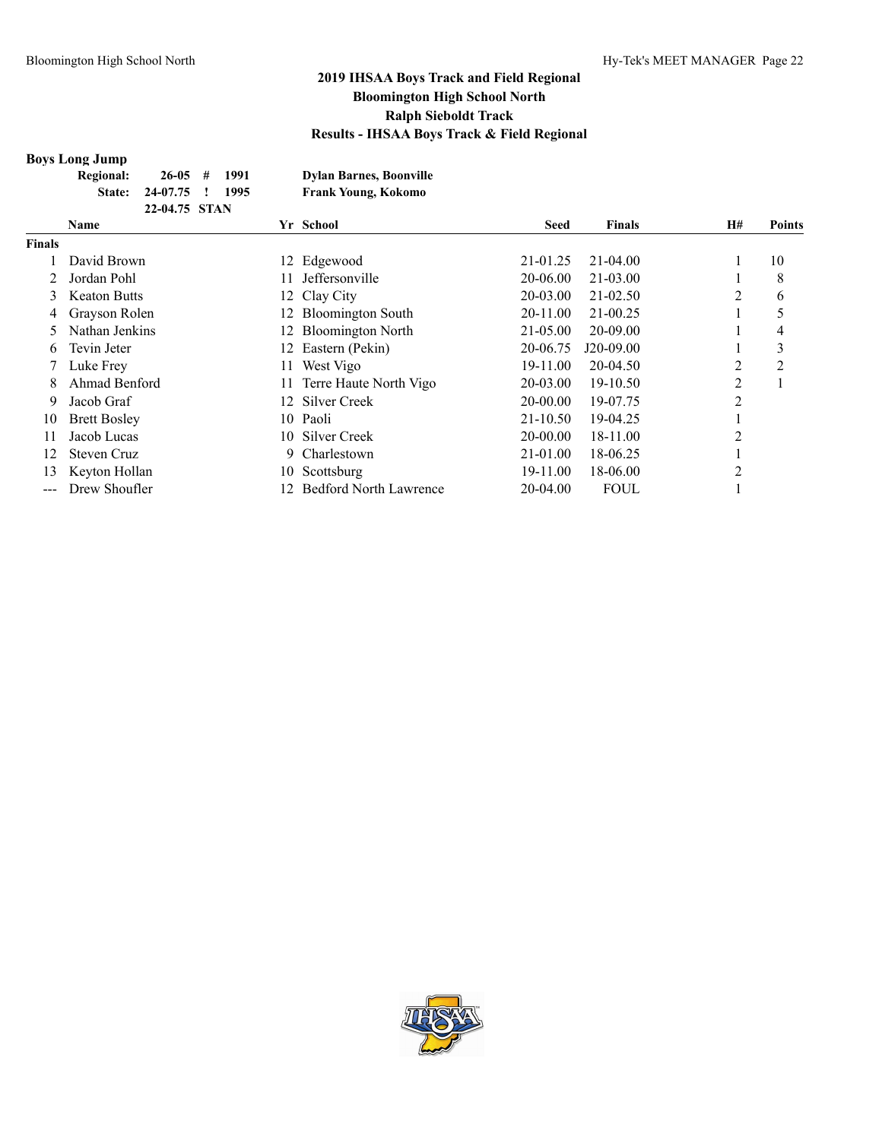#### **Boys Long Jump**

|               | _ _ _ _ _ _ _ _ _ _ _ |               |      |                                |             |               |    |        |
|---------------|-----------------------|---------------|------|--------------------------------|-------------|---------------|----|--------|
|               | <b>Regional:</b>      | $26-05$ #     | 1991 | <b>Dylan Barnes, Boonville</b> |             |               |    |        |
|               | State:                | 24-07.75      | 1995 | <b>Frank Young, Kokomo</b>     |             |               |    |        |
|               |                       | 22-04.75 STAN |      |                                |             |               |    |        |
|               | <b>Name</b>           |               |      | Yr School                      | <b>Seed</b> | <b>Finals</b> | H# | Points |
| <b>Finals</b> |                       |               |      |                                |             |               |    |        |
|               |                       |               |      |                                |             |               |    |        |

| Finals |                     |    |                               |              |              |   |    |
|--------|---------------------|----|-------------------------------|--------------|--------------|---|----|
|        | David Brown         | 12 | Edgewood                      | 21-01.25     | $21 - 04.00$ |   | 10 |
|        | Jordan Pohl         |    | Jeffersonville                | 20-06.00     | 21-03.00     |   | 8  |
| 3      | <b>Keaton Butts</b> |    | 12 Clay City                  | 20-03.00     | $21 - 02.50$ | 2 | 6  |
| 4      | Grayson Rolen       |    | 12 Bloomington South          | 20-11.00     | 21-00.25     |   | 5  |
|        | Nathan Jenkins      | 12 | <b>Bloomington North</b>      | 21-05.00     | 20-09.00     |   | 4  |
| 6      | Tevin Jeter         |    | 12 Eastern (Pekin)            | 20-06.75     | J20-09.00    |   | 3  |
|        | Luke Frey           |    | West Vigo                     | 19-11.00     | $20-04.50$   | 2 | 2  |
| 8      | Ahmad Benford       |    | Terre Haute North Vigo        | 20-03.00     | 19-10.50     | 2 |    |
| 9      | Jacob Graf          | 12 | <b>Silver Creek</b>           | 20-00.00     | 19-07.75     | 2 |    |
| 10     | <b>Brett Bosley</b> |    | 10 Paoli                      | $21 - 10.50$ | 19-04.25     |   |    |
|        | Jacob Lucas         |    | 10 Silver Creek               | 20-00.00     | 18-11.00     | 2 |    |
| 12     | Steven Cruz         | 9. | Charlestown                   | 21-01.00     | 18-06.25     |   |    |
| 13     | Keyton Hollan       | 10 | Scottsburg                    | 19-11.00     | 18-06.00     | 2 |    |
|        | Drew Shoufler       |    | <b>Bedford North Lawrence</b> | 20-04.00     | <b>FOUL</b>  |   |    |

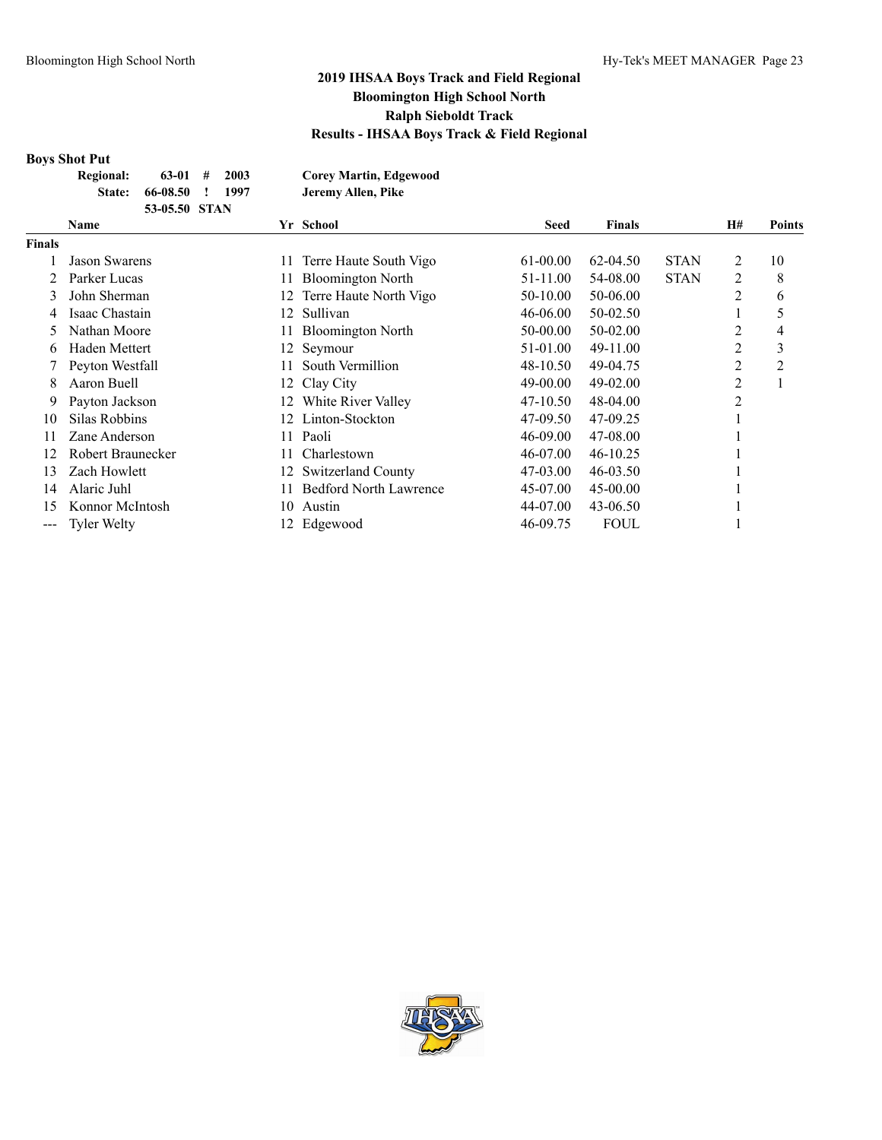#### **Boys Shot Put**

|               | <b>Name</b>      |               |      | Yr School                     | <b>Seed</b> | <b>Finals</b> | H# | Points |
|---------------|------------------|---------------|------|-------------------------------|-------------|---------------|----|--------|
|               |                  | 53-05.50 STAN |      |                               |             |               |    |        |
|               | State:           | 66-08.50      | 1997 | Jeremy Allen, Pike            |             |               |    |        |
|               | <b>Regional:</b> | $63-01$ #     | 2003 | <b>Corey Martin, Edgewood</b> |             |               |    |        |
| ротэ оног тиг |                  |               |      |                               |             |               |    |        |

|                                                                                                | $\cdots$          |     | <b>Denovi</b>                 | www      | * *******    |             |   | а отнез |
|------------------------------------------------------------------------------------------------|-------------------|-----|-------------------------------|----------|--------------|-------------|---|---------|
| <b>Finals</b>                                                                                  |                   |     |                               |          |              |             |   |         |
|                                                                                                | Jason Swarens     | 11. | Terre Haute South Vigo        | 61-00.00 | $62 - 04.50$ | <b>STAN</b> | 2 | 10      |
|                                                                                                | Parker Lucas      | 11  | <b>Bloomington North</b>      | 51-11.00 | 54-08.00     | <b>STAN</b> | 2 | 8       |
| 3                                                                                              | John Sherman      | 12  | Terre Haute North Vigo        | 50-10.00 | 50-06.00     |             | 2 | 6       |
| 4                                                                                              | Isaac Chastain    | 12. | Sullivan                      | 46-06.00 | 50-02.50     |             |   |         |
| 5                                                                                              | Nathan Moore      | 11. | <b>Bloomington North</b>      | 50-00.00 | 50-02.00     |             | 2 | 4       |
| 6                                                                                              | Haden Mettert     |     | 12 Seymour                    | 51-01.00 | 49-11.00     |             | 2 | 3       |
|                                                                                                | Peyton Westfall   | 11. | South Vermillion              | 48-10.50 | 49-04.75     |             | 2 | 2       |
| 8                                                                                              | Aaron Buell       | 12. | Clay City                     | 49-00.00 | 49-02.00     |             | 2 |         |
| 9                                                                                              | Payton Jackson    | 12. | White River Valley            | 47-10.50 | 48-04.00     |             | 2 |         |
| 10                                                                                             | Silas Robbins     | 12. | Linton-Stockton               | 47-09.50 | 47-09.25     |             |   |         |
| 11                                                                                             | Zane Anderson     | 11. | Paoli                         | 46-09.00 | 47-08.00     |             |   |         |
| 12                                                                                             | Robert Braunecker | 11- | Charlestown                   | 46-07.00 | $46 - 10.25$ |             |   |         |
| 13                                                                                             | Zach Howlett      | 12. | Switzerland County            | 47-03.00 | $46 - 03.50$ |             |   |         |
| 14                                                                                             | Alaric Juhl       | 11  | <b>Bedford North Lawrence</b> | 45-07.00 | $45 - 00.00$ |             |   |         |
| 15                                                                                             | Konnor McIntosh   | 10  | Austin                        | 44-07.00 | 43-06.50     |             |   |         |
| $\frac{1}{2} \left( \frac{1}{2} \right) \left( \frac{1}{2} \right) \left( \frac{1}{2} \right)$ | Tyler Welty       | 12. | Edgewood                      | 46-09.75 | <b>FOUL</b>  |             |   |         |

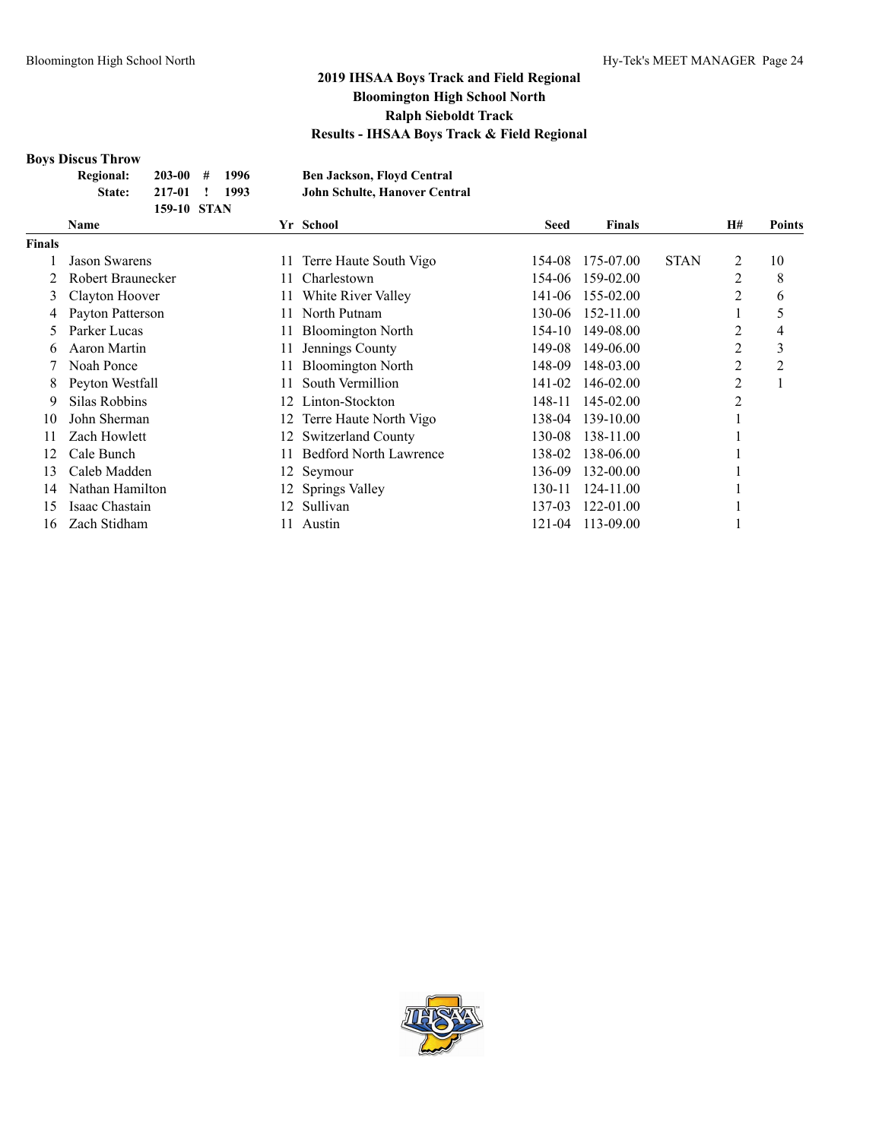#### **Boys Discus Throw**

|      | Regional: | $203-00$ # 1996 |  | <b>Ben Jackson, Floyd Central</b> |  |
|------|-----------|-----------------|--|-----------------------------------|--|
|      | State:    | 217-01 ! 1993   |  | John Schulte, Hanover Central     |  |
|      |           | 159-10 STAN     |  |                                   |  |
| Name |           |                 |  | Vr. School                        |  |

|        | <b>Name</b>       |      | Yr School                     | <b>Seed</b> | <b>Finals</b>    |             | <b>H#</b> | Points         |
|--------|-------------------|------|-------------------------------|-------------|------------------|-------------|-----------|----------------|
| Finals |                   |      |                               |             |                  |             |           |                |
|        | Jason Swarens     | 11   | Terre Haute South Vigo        | 154-08      | 175-07.00        | <b>STAN</b> | 2         | 10             |
|        | Robert Braunecker |      | Charlestown                   | 154-06      | 159-02.00        |             | 2         | 8              |
| 3      | Clayton Hoover    |      | White River Valley            |             | 141-06 155-02.00 |             | 2         | 6              |
| 4      | Payton Patterson  |      | North Putnam                  | 130-06      | 152-11.00        |             |           | 5              |
| 5      | Parker Lucas      | 11.  | <b>Bloomington North</b>      | 154-10      | 149-08.00        |             | 2         | 4              |
| 6      | Aaron Martin      |      | Jennings County               | 149-08      | 149-06.00        |             | 2         | 3              |
|        | Noah Ponce        |      | <b>Bloomington North</b>      | 148-09      | 148-03.00        |             | 2         | $\overline{c}$ |
| 8      | Peyton Westfall   | 11.  | South Vermillion              | 141-02      | 146-02.00        |             | 2         |                |
| 9      | Silas Robbins     | 12.  | Linton-Stockton               | 148-11      | 145-02.00        |             | 2         |                |
| 10     | John Sherman      | 12 - | Terre Haute North Vigo        | 138-04      | 139-10.00        |             |           |                |
| 11     | Zach Howlett      | 12   | Switzerland County            | 130-08      | 138-11.00        |             |           |                |
| 12     | Cale Bunch        |      | <b>Bedford North Lawrence</b> | 138-02      | 138-06.00        |             |           |                |
| 13     | Caleb Madden      |      | 12 Seymour                    | 136-09      | 132-00.00        |             |           |                |
| 14     | Nathan Hamilton   |      | 12 Springs Valley             | 130-11      | 124-11.00        |             |           |                |
| 15     | Isaac Chastain    | 12.  | Sullivan                      | 137-03      | 122-01.00        |             |           |                |
| 16     | Zach Stidham      |      | Austin                        | 121-04      | 113-09.00        |             |           |                |